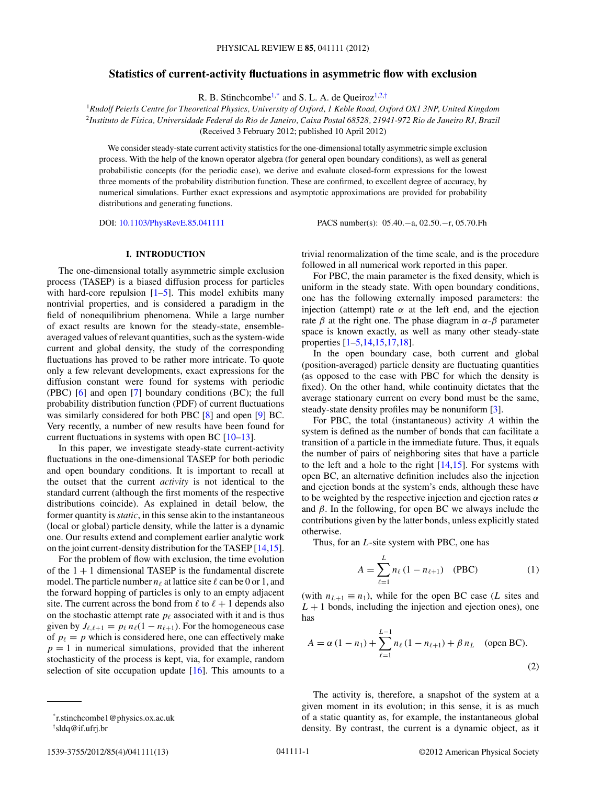# <span id="page-0-0"></span>**Statistics of current-activity fluctuations in asymmetric flow with exclusion**

R. B. Stinchcombe<sup>1,\*</sup> and S. L. A. de Queiroz<sup>1,2,†</sup>

<sup>1</sup>*Rudolf Peierls Centre for Theoretical Physics, University of Oxford, 1 Keble Road, Oxford OX1 3NP, United Kingdom* <sup>2</sup>*Instituto de F´ısica, Universidade Federal do Rio de Janeiro, Caixa Postal 68528, 21941-972 Rio de Janeiro RJ, Brazil* (Received 3 February 2012; published 10 April 2012)

We consider steady-state current activity statistics for the one-dimensional totally asymmetric simple exclusion process. With the help of the known operator algebra (for general open boundary conditions), as well as general probabilistic concepts (for the periodic case), we derive and evaluate closed-form expressions for the lowest three moments of the probability distribution function. These are confirmed, to excellent degree of accuracy, by numerical simulations. Further exact expressions and asymptotic approximations are provided for probability distributions and generating functions.

DOI: [10.1103/PhysRevE.85.041111](http://dx.doi.org/10.1103/PhysRevE.85.041111) PACS number(s): 05*.*40*.*−a, 02*.*50*.*−r, 05*.*70*.*Fh

## **I. INTRODUCTION**

The one-dimensional totally asymmetric simple exclusion process (TASEP) is a biased diffusion process for particles with hard-core repulsion  $[1-5]$  $[1-5]$ . This model exhibits many nontrivial properties, and is considered a paradigm in the field of nonequilibrium phenomena. While a large number of exact results are known for the steady-state, ensembleaveraged values of relevant quantities, such as the system-wide current and global density, the study of the corresponding fluctuations has proved to be rather more intricate. To quote only a few relevant developments, exact expressions for the diffusion constant were found for systems with periodic (PBC) [\[6\]](#page-12-0) and open [\[7\]](#page-12-0) boundary conditions (BC); the full probability distribution function (PDF) of current fluctuations was similarly considered for both PBC [\[8\]](#page-12-0) and open [\[9\]](#page-12-0) BC. Very recently, a number of new results have been found for current fluctuations in systems with open BC [\[10–13\]](#page-12-0).

In this paper, we investigate steady-state current-activity fluctuations in the one-dimensional TASEP for both periodic and open boundary conditions. It is important to recall at the outset that the current *activity* is not identical to the standard current (although the first moments of the respective distributions coincide). As explained in detail below, the former quantity is *static*, in this sense akin to the instantaneous (local or global) particle density, while the latter is a dynamic one. Our results extend and complement earlier analytic work on the joint current-density distribution for the TASEP [\[14,15\]](#page-12-0).

For the problem of flow with exclusion, the time evolution of the  $1 + 1$  dimensional TASEP is the fundamental discrete model. The particle number  $n_\ell$  at lattice site  $\ell$  can be 0 or 1, and the forward hopping of particles is only to an empty adjacent site. The current across the bond from  $\ell$  to  $\ell + 1$  depends also on the stochastic attempt rate  $p_{\ell}$  associated with it and is thus given by  $J_{\ell, \ell+1} = p_{\ell} n_{\ell} (1 - n_{\ell+1})$ . For the homogeneous case of  $p_{\ell} = p$  which is considered here, one can effectively make  $p = 1$  in numerical simulations, provided that the inherent stochasticity of the process is kept, via, for example, random selection of site occupation update  $[16]$ . This amounts to a

† sldq@if.ufrj.br

trivial renormalization of the time scale, and is the procedure followed in all numerical work reported in this paper.

For PBC, the main parameter is the fixed density, which is uniform in the steady state. With open boundary conditions, one has the following externally imposed parameters: the injection (attempt) rate  $\alpha$  at the left end, and the ejection rate *β* at the right one. The phase diagram in *α*-*β* parameter space is known exactly, as well as many other steady-state properties [\[1](#page-11-0)[–5,14,15,17,18\]](#page-12-0).

In the open boundary case, both current and global (position-averaged) particle density are fluctuating quantities (as opposed to the case with PBC for which the density is fixed). On the other hand, while continuity dictates that the average stationary current on every bond must be the same, steady-state density profiles may be nonuniform [\[3\]](#page-11-0).

For PBC, the total (instantaneous) activity *A* within the system is defined as the number of bonds that can facilitate a transition of a particle in the immediate future. Thus, it equals the number of pairs of neighboring sites that have a particle to the left and a hole to the right  $[14,15]$ . For systems with open BC, an alternative definition includes also the injection and ejection bonds at the system's ends, although these have to be weighted by the respective injection and ejection rates *α* and  $\beta$ . In the following, for open BC we always include the contributions given by the latter bonds, unless explicitly stated otherwise.

Thus, for an *L*-site system with PBC, one has

$$
A = \sum_{\ell=1}^{L} n_{\ell} (1 - n_{\ell+1}) \quad (PBC)
$$
 (1)

(with  $n_{L+1} \equiv n_1$ ), while for the open BC case (*L* sites and  $L + 1$  bonds, including the injection and ejection ones), one has

$$
A = \alpha (1 - n_1) + \sum_{\ell=1}^{L-1} n_\ell (1 - n_{\ell+1}) + \beta n_L \quad \text{(open BC)}.
$$
\n(2)

The activity is, therefore, a snapshot of the system at a given moment in its evolution; in this sense, it is as much of a static quantity as, for example, the instantaneous global density. By contrast, the current is a dynamic object, as it

<sup>\*</sup>r.stinchcombe1@physics.ox.ac.uk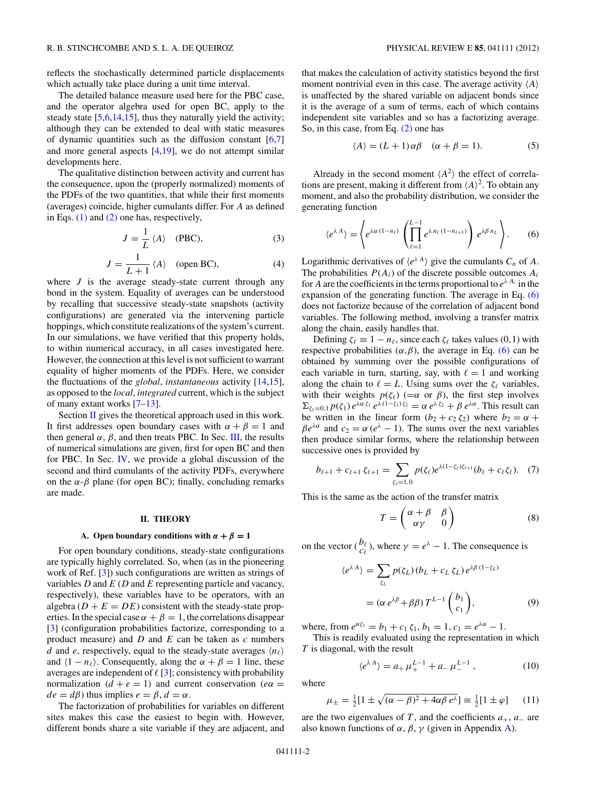<span id="page-1-0"></span>reflects the stochastically determined particle displacements which actually take place during a unit time interval.

The detailed balance measure used here for the PBC case, and the operator algebra used for open BC, apply to the steady state  $[5,6,14,15]$ , thus they naturally yield the activity; although they can be extended to deal with static measures of dynamic quantities such as the diffusion constant  $[6,7]$ and more general aspects  $[4,19]$  $[4,19]$ , we do not attempt similar developments here.

The qualitative distinction between activity and current has the consequence, upon the (properly normalized) moments of the PDFs of the two quantities, that while their first moments (averages) coincide, higher cumulants differ. For *A* as defined in Eqs. [\(1\)](#page-0-0) and [\(2\)](#page-0-0) one has, respectively,

$$
J = \frac{1}{L} \langle A \rangle \quad \text{(PBC)},\tag{3}
$$

$$
J = \frac{1}{L+1} \langle A \rangle \quad \text{(open BC)}, \tag{4}
$$

where  $J$  is the average steady-state current through any bond in the system. Equality of averages can be understood by recalling that successive steady-state snapshots (activity configurations) are generated via the intervening particle hoppings, which constitute realizations of the system's current. In our simulations, we have verified that this property holds, to within numerical accuracy, in all cases investigated here. However, the connection at this level is not sufficient to warrant equality of higher moments of the PDFs. Here, we consider the fluctuations of the *global*, *instantaneous* activity [\[14,15\]](#page-12-0), as opposed to the *local*, *integrated* current, which is the subject of many extant works [\[7–13\]](#page-12-0).

Section  $\overline{II}$  gives the theoretical approach used in this work. It first addresses open boundary cases with  $\alpha + \beta = 1$  and then general  $\alpha$ ,  $\beta$ , and then treats PBC. In Sec. [III,](#page-5-0) the results of numerical simulations are given, first for open BC and then for PBC. In Sec. [IV,](#page-9-0) we provide a global discussion of the second and third cumulants of the activity PDFs, everywhere on the  $\alpha$ - $\beta$  plane (for open BC); finally, concluding remarks are made.

### **II. THEORY**

### **A.** Open boundary conditions with  $\alpha + \beta = 1$

For open boundary conditions, steady-state configurations are typically highly correlated. So, when (as in the pioneering work of Ref. [\[3\]](#page-11-0)) such configurations are written as strings of variables *D* and *E* (*D* and *E* representing particle and vacancy, respectively), these variables have to be operators, with an algebra  $(D + E = DE)$  consistent with the steady-state properties. In the special case  $\alpha + \beta = 1$ , the correlations disappear [\[3\]](#page-11-0) (configuration probabilities factorize, corresponding to a product measure) and *D* and *E* can be taken as *c* numbers *d* and *e*, respectively, equal to the steady-state averages  $\langle n_{\ell} \rangle$ and  $\langle 1 - n_\ell \rangle$ . Consequently, along the  $\alpha + \beta = 1$  line, these averages are independent of  $\ell$  [\[3\]](#page-11-0); consistency with probability normalization  $(d + e = 1)$  and current conservation  $(e\alpha =$  $de = d\beta$ ) thus implies  $e = \beta$ ,  $d = \alpha$ .

The factorization of probabilities for variables on different sites makes this case the easiest to begin with. However, different bonds share a site variable if they are adjacent, and

that makes the calculation of activity statistics beyond the first moment nontrivial even in this case. The average activity  $\langle A \rangle$ is unaffected by the shared variable on adjacent bonds since it is the average of a sum of terms, each of which contains independent site variables and so has a factorizing average. So, in this case, from Eq. [\(2\)](#page-0-0) one has

$$
\langle A \rangle = (L+1)\alpha\beta \quad (\alpha + \beta = 1). \tag{5}
$$

Already in the second moment  $\langle A^2 \rangle$  the effect of correlations are present, making it different from  $\langle A \rangle^2$ . To obtain any moment, and also the probability distribution, we consider the generating function

$$
\langle e^{\lambda A} \rangle = \left\langle e^{\lambda \alpha (1 - n_1)} \left( \prod_{\ell=1}^{L-1} e^{\lambda n_\ell (1 - n_{\ell+1})} \right) e^{\lambda \beta n_L} \right\rangle. \tag{6}
$$

Logarithmic derivatives of  $\langle e^{\lambda A} \rangle$  give the cumulants  $C_n$  of A. The probabilities  $P(A_i)$  of the discrete possible outcomes  $A_i$ for *A* are the coefficients in the terms proportional to  $e^{\lambda A_i}$  in the expansion of the generating function. The average in Eq. (6) does not factorize because of the correlation of adjacent bond variables. The following method, involving a transfer matrix along the chain, easily handles that.

Defining  $\zeta_{\ell} \equiv 1 - n_{\ell}$ , since each  $\zeta_{\ell}$  takes values (0,1) with respective probabilities  $(\alpha, \beta)$ , the average in Eq. (6) can be obtained by summing over the possible configurations of each variable in turn, starting, say, with  $\ell = 1$  and working along the chain to  $\ell = L$ . Using sums over the  $\zeta_{\ell}$  variables, with their weights  $p(\zeta_\ell)$  (= $\alpha$  or  $\beta$ ), the first step involves  $\Sigma_{\zeta_1=0,1} p(\zeta_1) e^{\lambda \alpha \zeta_1} e^{\lambda (1-\zeta_1)\zeta_2} = \alpha e^{\lambda \zeta_2} + \beta e^{\lambda \alpha}$ . This result can be written in the linear form  $(b_2 + c_2 \zeta_2)$  where  $b_2 = \alpha +$  $\beta e^{\lambda \alpha}$  and  $c_2 = \alpha (e^{\lambda} - 1)$ . The sums over the next variables then produce similar forms, where the relationship between successive ones is provided by

$$
b_{\ell+1} + c_{\ell+1} \zeta_{\ell+1} = \sum_{\zeta_{\ell}=1,0} p(\zeta_{\ell}) e^{\lambda(1-\zeta_{\ell})\zeta_{\ell+1}} (b_{\ell} + c_{\ell} \zeta_{\ell}). \tag{7}
$$

This is the same as the action of the transfer matrix

$$
T = \begin{pmatrix} \alpha + \beta & \beta \\ \alpha \gamma & 0 \end{pmatrix}
$$
 (8)

on the vector  $\left(\frac{b_{\ell}}{c_{\ell}}\right)$ , where  $\gamma = e^{\lambda} - 1$ . The consequence is

$$
\langle e^{\lambda A} \rangle = \sum_{\zeta_L} p(\zeta_L) (b_L + c_L \zeta_L) e^{\lambda \beta (1 - \zeta_L)}
$$
  
= 
$$
(\alpha e^{\lambda \beta} + \beta \beta) T^{L-1} \begin{pmatrix} b_1 \\ c_1 \end{pmatrix},
$$
 (9)

where, from  $e^{\alpha \zeta_1} = b_1 + c_1 \zeta_1$ ,  $b_1 = 1$ ,  $c_1 = e^{\lambda \alpha} - 1$ .

This is readily evaluated using the representation in which *T* is diagonal, with the result

$$
\langle e^{\lambda A} \rangle = a_+ \mu_+^{L-1} + a_- \mu_-^{L-1} , \qquad (10)
$$

where

$$
\mu_{\pm} = \frac{1}{2} [1 \pm \sqrt{(\alpha - \beta)^2 + 4\alpha \beta e^{\lambda}}] \equiv \frac{1}{2} [1 \pm \varphi] \quad (11)
$$

are the two eigenvalues of *T*, and the coefficients  $a_+$ ,  $a_-$  are also known functions of  $\alpha$ ,  $\beta$ ,  $\gamma$  (given in Appendix [A\)](#page-10-0).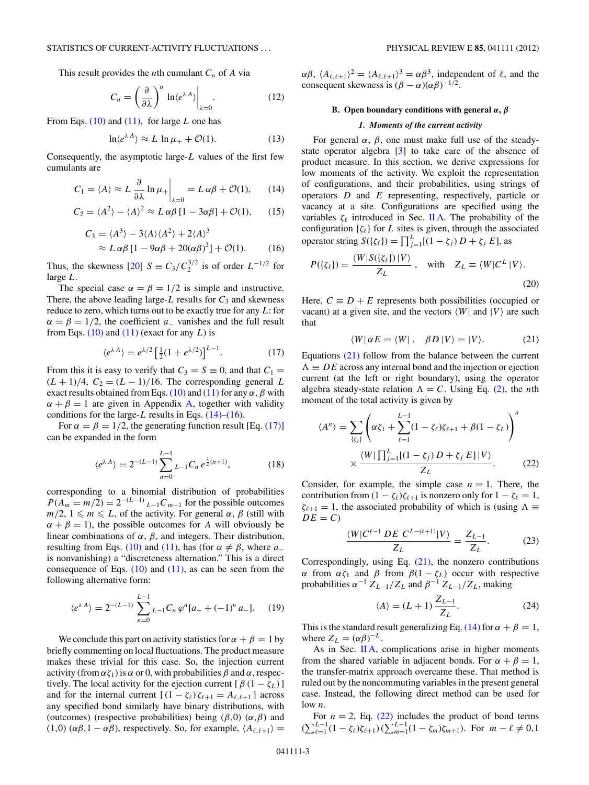<span id="page-2-0"></span>This result provides the *n*th cumulant  $C_n$  of *A* via

$$
C_n = \left(\frac{\partial}{\partial \lambda}\right)^n \ln \langle e^{\lambda A} \rangle \bigg|_{\lambda=0}.
$$
 (12)

From Eqs. [\(10\)](#page-1-0) and [\(11\),](#page-1-0) for large *L* one has

$$
\ln \langle e^{\lambda A} \rangle \approx L \ln \mu_+ + \mathcal{O}(1). \tag{13}
$$

Consequently, the asymptotic large-*L* values of the first few cumulants are

$$
C_1 = \langle A \rangle \approx L \frac{\partial}{\partial \lambda} \ln \mu_+ \bigg|_{\lambda=0} = L \alpha \beta + \mathcal{O}(1), \qquad (14)
$$

$$
C_2 = \langle A^2 \rangle - \langle A \rangle^2 \approx L \alpha \beta [1 - 3\alpha \beta] + \mathcal{O}(1), \qquad (15)
$$

$$
C_3 = \langle A^3 \rangle - 3 \langle A \rangle \langle A^2 \rangle + 2 \langle A \rangle^3
$$
  
 
$$
\approx L \alpha \beta [1 - 9 \alpha \beta + 20(\alpha \beta)^2] + \mathcal{O}(1). \tag{16}
$$

Thus, the skewness  $[20]$   $S = C_3 / C_2^{3/2}$  is of order  $L^{-1/2}$  for large *L*.

The special case  $\alpha = \beta = 1/2$  is simple and instructive. There, the above leading large- $L$  results for  $C_3$  and skewness reduce to zero, which turns out to be exactly true for any *L*: for  $\alpha = \beta = 1/2$ , the coefficient *a*<sub>−</sub> vanishes and the full result from Eqs.  $(10)$  and  $(11)$  (exact for any *L*) is

$$
\langle e^{\lambda A} \rangle = e^{\lambda/2} \left[ \frac{1}{2} (1 + e^{\lambda/2}) \right]^{L-1}.
$$
 (17)

From this it is easy to verify that  $C_3 = S \equiv 0$ , and that  $C_1 =$  $(L + 1)/4$ ,  $C_2 = (L - 1)/16$ . The corresponding general *L* exact results obtained from Eqs. [\(10\)](#page-1-0) and [\(11\)](#page-1-0) for any  $\alpha$ ,  $\beta$  with  $\alpha + \beta = 1$  are given in Appendix [A,](#page-10-0) together with validity conditions for the large-*L* results in Eqs. (14)–(16).

For  $\alpha = \beta = 1/2$ , the generating function result [Eq. (17)] can be expanded in the form

$$
\langle e^{\lambda A} \rangle = 2^{-(L-1)} \sum_{n=0}^{L-1} L_{-1} C_n e^{\frac{\lambda}{2}(n+1)}, \tag{18}
$$

corresponding to a binomial distribution of probabilities  $P(A_m = m/2) = 2^{-(L-1)} L_{-1}C_{m-1}$  for the possible outcomes  $m/2$ ,  $1 \leq m \leq L$ , of the activity. For general  $\alpha$ ,  $\beta$  (still with  $\alpha + \beta = 1$ , the possible outcomes for *A* will obviously be linear combinations of  $\alpha$ ,  $\beta$ , and integers. Their distribution, resulting from Eqs. [\(10\)](#page-1-0) and [\(11\),](#page-1-0) has (for  $\alpha \neq \beta$ , where  $a_$ is nonvanishing) a "discreteness alternation." This is a direct consequence of Eqs.  $(10)$  and  $(11)$ , as can be seen from the following alternative form:

$$
\langle e^{\lambda A} \rangle = 2^{-(L-1)} \sum_{n=0}^{L-1} L_{-1} C_n \varphi^n [a_+ + (-1)^n a_-]. \tag{19}
$$

We conclude this part on activity statistics for  $\alpha + \beta = 1$  by briefly commenting on local fluctuations. The product measure makes these trivial for this case. So, the injection current activity (from  $\alpha \zeta_1$ ) is  $\alpha$  or 0, with probabilities  $\beta$  and  $\alpha$ , respectively. The local activity for the ejection current  $[\beta(1 - \zeta_L)]$ and for the internal current  $[(1 - \zeta_{\ell})\zeta_{\ell+1} = A_{\ell,\ell+1}]$  across any specified bond similarly have binary distributions, with (outcomes) (respective probabilities) being (*β,*0) (*α,β*) and (1,0)  $(αβ, 1 - αβ)$ , respectively. So, for example,  $(A_{\ell, \ell+1})$  =

 $\alpha\beta$ ,  $\langle A_{\ell,\ell+1} \rangle^2 = \langle A_{\ell,\ell+1} \rangle^3 = \alpha\beta^3$ , independent of  $\ell$ , and the consequent skewness is  $(\beta - \alpha)(\alpha\beta)^{-1/2}$ .

## **B. Open boundary conditions with general** *α***,** *β*

## *1. Moments of the current activity*

For general  $\alpha$ ,  $\beta$ , one must make full use of the steadystate operator algebra [\[3\]](#page-11-0) to take care of the absence of product measure. In this section, we derive expressions for low moments of the activity. We exploit the representation of configurations, and their probabilities, using strings of operators *D* and *E* representing, respectively, particle or vacancy at a site. Configurations are specified using the variables  $\zeta_{\ell}$  introduced in Sec. [II A.](#page-1-0) The probability of the configuration  $\{\zeta_\ell\}$  for *L* sites is given, through the associated operator string  $S({\{\zeta_{\ell}\}}) = \prod_{j=1}^{L}[(1 - {\zeta_j}) D + {\zeta_j} E]$ , as

$$
P(\{\zeta_{\ell}\}) = \frac{\langle W|S(\{\zeta_{\ell}\})|V\rangle}{Z_L}, \quad \text{with} \quad Z_L \equiv \langle W|C^L|V\rangle. \tag{20}
$$

Here,  $C \equiv D + E$  represents both possibilities (occupied or vacant) at a given site, and the vectors  $\langle W |$  and  $|V \rangle$  are such that

$$
\langle W | \alpha E = \langle W | , \quad \beta D | V \rangle = | V \rangle. \tag{21}
$$

Equations (21) follow from the balance between the current  $\Lambda \equiv DE$  across any internal bond and the injection or ejection current (at the left or right boundary), using the operator algebra steady-state relation  $\Lambda = C$ . Using Eq. [\(2\),](#page-0-0) the *n*th moment of the total activity is given by

$$
\langle A^n \rangle = \sum_{\{\zeta_j\}} \left( \alpha \zeta_1 + \sum_{\ell=1}^{L-1} (1 - \zeta_\ell) \zeta_{\ell+1} + \beta (1 - \zeta_L) \right)^n
$$
  
 
$$
\times \frac{\langle W | \prod_{j=1}^L [(1 - \zeta_j) D + \zeta_j E] | V \rangle}{Z_L}.
$$
 (22)

Consider, for example, the simple case  $n = 1$ . There, the contribution from  $(1 - \zeta_\ell)\zeta_{\ell+1}$  is nonzero only for  $1 - \zeta_\ell = 1$ ,  $\zeta_{\ell+1} = 1$ , the associated probability of which is (using  $\Lambda \equiv$  $DE = C$ 

$$
\frac{\langle W|C^{\ell-1} \, DE \, C^{L-(\ell+1)}|V\rangle}{Z_L} = \frac{Z_{L-1}}{Z_L}.\tag{23}
$$

Correspondingly, using Eq.  $(21)$ , the nonzero contributions *α* from  $α\zeta_1$  and *β* from  $β(1 - \zeta_L)$  occur with respective probabilities  $\alpha^{-1} Z_{L-1}/Z_L$  and  $\beta^{-1} Z_{L-1}/Z_L$ , making

$$
\langle A \rangle = (L+1) \frac{Z_{L-1}}{Z_L}.\tag{24}
$$

This is the standard result generalizing Eq. (14) for  $\alpha + \beta = 1$ , where  $Z_L = (\alpha \beta)^{-L}$ .

As in Sec.  $\mathbf{II} \mathbf{A}$ , complications arise in higher moments from the shared variable in adjacent bonds. For  $\alpha + \beta = 1$ , the transfer-matrix approach overcame these. That method is ruled out by the noncommuting variables in the present general case. Instead, the following direct method can be used for  $\ln w$  *n* 

For  $n = 2$ , Eq. (22) includes the product of bond terms  $(\sum_{\ell=1}^{L-1} (1 - \zeta_{\ell}) \zeta_{\ell+1}) (\sum_{m=1}^{L-1} (1 - \zeta_m) \zeta_{m+1})$ . For  $m - \ell \neq 0, 1$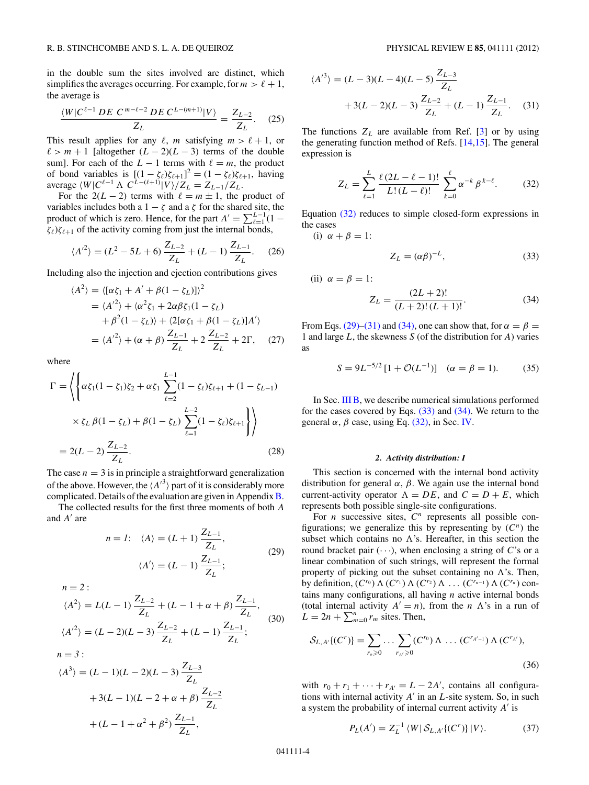<span id="page-3-0"></span>in the double sum the sites involved are distinct, which simplifies the averages occurring. For example, for  $m > \ell + 1$ , the average is

$$
\frac{\langle W|C^{\ell-1} \, DE \, C^{m-\ell-2} \, DE \, C^{L-(m+1)}|V\rangle}{Z_L} = \frac{Z_{L-2}}{Z_L}.\tag{25}
$$

This result applies for any  $\ell$ , *m* satisfying  $m > \ell + 1$ , or  $\ell > m + 1$  [altogether  $(L - 2)(L - 3)$  terms of the double sum]. For each of the  $L - 1$  terms with  $\ell = m$ , the product of bond variables is  $[(1 - \zeta_{\ell})\zeta_{\ell+1}]^2 = (1 - \zeta_{\ell})\zeta_{\ell+1}$ , having average  $\langle W|C^{\ell-1} \Lambda C^{L-(\ell+1)}|V\rangle/Z_L = Z_{L-1}/Z_L$ .

For the  $2(L-2)$  terms with  $\ell = m \pm 1$ , the product of variables includes both a  $1 - \zeta$  and a  $\zeta$  for the shared site, the product of which is zero. Hence, for the part  $A' = \sum_{\ell=1}^{L-1} (1 \zeta_{\ell}$ ) $\zeta_{\ell+1}$  of the activity coming from just the internal bonds,

$$
\langle {A'}^2 \rangle = (L^2 - 5L + 6) \frac{Z_{L-2}}{Z_L} + (L - 1) \frac{Z_{L-1}}{Z_L}.
$$
 (26)

Including also the injection and ejection contributions gives

$$
\langle A^{2} \rangle = \langle [\alpha \zeta_{1} + A' + \beta (1 - \zeta_{L})] \rangle^{2}
$$
  
=  $\langle A'^{2} \rangle + \langle \alpha^{2} \zeta_{1} + 2\alpha \beta \zeta_{1} (1 - \zeta_{L})$   
+  $\beta^{2} (1 - \zeta_{L}) \rangle + \langle 2[\alpha \zeta_{1} + \beta (1 - \zeta_{L})] A' \rangle$   
=  $\langle A'^{2} \rangle + (\alpha + \beta) \frac{Z_{L-1}}{Z_{L}} + 2 \frac{Z_{L-2}}{Z_{L}} + 2\Gamma,$  (27)

where

$$
\Gamma = \left\langle \left\{ \alpha \zeta_1 (1 - \zeta_1) \zeta_2 + \alpha \zeta_1 \sum_{\ell=2}^{L-1} (1 - \zeta_\ell) \zeta_{\ell+1} + (1 - \zeta_{L-1}) \right. \right. \\ \left. \times \zeta_L \beta (1 - \zeta_L) + \beta (1 - \zeta_L) \sum_{\ell=1}^{L-2} (1 - \zeta_\ell) \zeta_{\ell+1} \right\rangle \right\rangle
$$
  
= 2(L - 2)  $\frac{Z_{L-2}}{Z_L}$ . (28)

The case  $n = 3$  is in principle a straightforward generalization of the above. However, the  $\langle A'^3 \rangle$  part of it is considerably more complicated. Details of the evaluation are given in Appendix  $B$ .

The collected results for the first three moments of both *A* and *A'* are

$$
n = 1: \quad \langle A \rangle = (L+1) \frac{Z_{L-1}}{Z_L},
$$

$$
\langle A' \rangle = (L-1) \frac{Z_{L-1}}{Z_L};
$$
(29)

$$
n = 2:
$$
  
\n
$$
\langle A^{2} \rangle = L(L-1) \frac{Z_{L-2}}{Z_{L}} + (L - 1 + \alpha + \beta) \frac{Z_{L-1}}{Z_{L}},
$$
  
\n
$$
\langle A'^{2} \rangle = (L - 2)(L - 3) \frac{Z_{L-2}}{Z_{L}} + (L - 1) \frac{Z_{L-1}}{Z_{L}};
$$
\n(30)

$$
h = 3.
$$
  
\n
$$
\langle A^{3} \rangle = (L - 1)(L - 2)(L - 3) \frac{Z_{L-3}}{Z_{L}}
$$
  
\n
$$
+ 3(L - 1)(L - 2 + \alpha + \beta) \frac{Z_{L-2}}{Z_{L}}
$$
  
\n
$$
+ (L - 1 + \alpha^{2} + \beta^{2}) \frac{Z_{L-1}}{Z_{L}},
$$

*n* = *3* :

$$
\langle A^{3} \rangle = (L - 3)(L - 4)(L - 5) \frac{Z_{L-3}}{Z_L} + 3(L - 2)(L - 3) \frac{Z_{L-2}}{Z_L} + (L - 1) \frac{Z_{L-1}}{Z_L}.
$$
 (31)

The functions  $Z_L$  are available from Ref. [\[3\]](#page-11-0) or by using the generating function method of Refs. [\[14,15\]](#page-12-0). The general expression is

$$
Z_L = \sum_{\ell=1}^L \frac{\ell (2L - \ell - 1)!}{L!(L - \ell)!} \sum_{k=0}^\ell \alpha^{-k} \beta^{k-\ell}.
$$
 (32)

Equation (32) reduces to simple closed-form expressions in the cases

(i)  $\alpha + \beta = 1$ :

(ii)  $\alpha = \beta = 1$ :

$$
Z_L = (\alpha \beta)^{-L}, \tag{33}
$$

$$
Z_L = \frac{(2L+2)!}{(L+2)!(L+1)!}.
$$
 (34)

From Eqs. (29)–(31) and (34), one can show that, for  $\alpha = \beta$ 1 and large *L*, the skewness *S* (of the distribution for *A*) varies as

$$
S = 9L^{-5/2}[1 + \mathcal{O}(L^{-1})] \quad (\alpha = \beta = 1). \tag{35}
$$

In Sec. [III B,](#page-6-0) we describe numerical simulations performed for the cases covered by Eqs.  $(33)$  and  $(34)$ . We return to the general  $\alpha$ ,  $\beta$  case, using Eq. (32), in Sec. [IV.](#page-9-0)

## *2. Activity distribution: I*

This section is concerned with the internal bond activity distribution for general *α*, *β*. We again use the internal bond current-activity operator  $\Lambda = DE$ , and  $C = D + E$ , which represents both possible single-site configurations.

For *n* successive sites,  $C^n$  represents all possible configurations; we generalize this by representing by  $(C^n)$  the subset which contains no  $\Lambda$ 's. Hereafter, in this section the round bracket pair  $(\cdot \cdot \cdot)$ , when enclosing a string of *C*'s or a linear combination of such strings, will represent the formal property of picking out the subset containing no  $\Lambda$ 's. Then, by definition,  $(C^{r_0}) \Lambda (C^{r_1}) \Lambda (C^{r_2}) \Lambda \ldots (C^{r_{n-1}}) \Lambda (C^{r_n})$  contains many configurations, all having *n* active internal bonds (total internal activity  $A' = n$ ), from the *n*  $\Lambda$ 's in a run of  $L = 2n + \sum_{m=0}^{n} r_m$  sites. Then,

$$
S_{L,A'}\{(C^r)\} = \sum_{r_o \geq 0} \dots \sum_{r_{A'} \geq 0} (C^{r_0}) \Lambda \dots (C^{r_{A'-1}}) \Lambda (C^{r_{A'}}),
$$
\n(36)

with  $r_0 + r_1 + \cdots + r_{A'} = L - 2A'$ , contains all configurations with internal activity *A* in an *L*-site system. So, in such a system the probability of internal current activity *A* is

$$
P_L(A') = Z_L^{-1} \langle W | S_{L,A'} \{ (C') \} | V \rangle.
$$
 (37)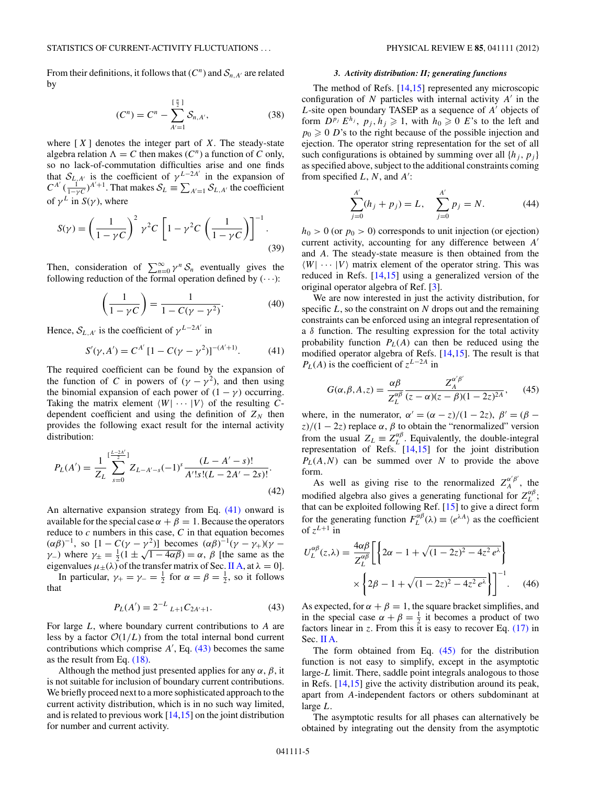<span id="page-4-0"></span>From their definitions, it follows that  $(C^n)$  and  $S_{n,A'}$  are related by

$$
(C^n) = C^n - \sum_{A'=1}^{\lfloor \frac{n}{2} \rfloor} S_{n, A'},
$$
 (38)

where  $[X]$  denotes the integer part of  $X$ . The steady-state algebra relation  $\Lambda = C$  then makes  $(C^n)$  a function of C only, so no lack-of-commutation difficulties arise and one finds that  $S_{L,A'}$  is the coefficient of  $\gamma^{L-2A'}$  in the expansion of  $C^{A'}$  ( $\frac{1}{1-\gamma C}$ )<sup>*A* $+1$ </sup>. That makes  $S_L \equiv \sum_{A'=1} S_{L,A'}$  the coefficient of  $\gamma^L$  in  $S(\gamma)$ , where

$$
S(\gamma) = \left(\frac{1}{1-\gamma C}\right)^2 \gamma^2 C \left[1 - \gamma^2 C \left(\frac{1}{1-\gamma C}\right)\right]^{-1}.
$$
\n(39)

Then, consideration of  $\sum_{n=0}^{\infty} \gamma^n S_n$  eventually gives the following reduction of the formal operation defined by  $(\cdot \cdot \cdot)$ :

$$
\left(\frac{1}{1-\gamma C}\right) = \frac{1}{1-C(\gamma - \gamma^2)}.\tag{40}
$$

Hence,  $S_{L,A'}$  is the coefficient of  $\gamma^{L-2A'}$  in

$$
S'(\gamma, A') = C^{A'} [1 - C(\gamma - \gamma^2)]^{-(A'+1)}.
$$
 (41)

The required coefficient can be found by the expansion of the function of *C* in powers of  $(\gamma - \gamma^2)$ , and then using the binomial expansion of each power of  $(1 - \gamma)$  occurring. Taking the matrix element  $\langle W | \cdots | V \rangle$  of the resulting Cdependent coefficient and using the definition of  $Z_N$  then provides the following exact result for the internal activity distribution:

$$
P_L(A') = \frac{1}{Z_L} \sum_{s=0}^{\lfloor \frac{L-2A'}{2} \rfloor} Z_{L-A'-s}(-1)^s \frac{(L-A'-s)!}{A'!s!(L-2A'-2s)!}.
$$
\n(42)

An alternative expansion strategy from Eq. (41) onward is available for the special case  $\alpha + \beta = 1$ . Because the operators reduce to *c* numbers in this case, *C* in that equation becomes  $(αβ)^{-1}$ , so  $[1 - C(γ - γ<sup>2</sup>)]$  becomes  $(αβ)^{-1}(γ - γ<sub>+</sub>)(γ -$ *(αρ)*  $\beta$ , so  $1 - C(\gamma - \gamma - 1)$  becomes *(αρ)*  $(\gamma - \gamma_+)(\gamma - \gamma_-)$  where  $\gamma_{\pm} = \frac{1}{2}(1 \pm \sqrt{1 - 4\alpha\beta}) = \alpha$ , *β* [the same as the eigenvalues  $\mu_{\pm}(\lambda)$  of the transfer matrix of Sec. [II A,](#page-1-0) at  $\lambda = 0$ .

In particular,  $\gamma_+ = \gamma_- = \frac{1}{2}$  for  $\alpha = \beta = \frac{1}{2}$ , so it follows that

$$
P_L(A') = 2^{-L} L_{+1} C_{2A'+1}.
$$
 (43)

For large *L*, where boundary current contributions to *A* are less by a factor  $O(1/L)$  from the total internal bond current contributions which comprise  $A'$ , Eq.  $(43)$  becomes the same as the result from Eq. [\(18\).](#page-2-0)

Although the method just presented applies for any  $\alpha$ ,  $\beta$ , it is not suitable for inclusion of boundary current contributions. We briefly proceed next to a more sophisticated approach to the current activity distribution, which is in no such way limited, and is related to previous work [\[14,15\]](#page-12-0) on the joint distribution for number and current activity.

#### *3. Activity distribution: II; generating functions*

The method of Refs. [\[14,15\]](#page-12-0) represented any microscopic configuration of  $N$  particles with internal activity  $A'$  in the *L*-site open boundary TASEP as a sequence of *A'* objects of form  $D^{p_j} E^{h_j}$ ,  $p_j, h_j \ge 1$ , with  $h_0 \ge 0$  *E*'s to the left and  $p_0 \geq 0$  *D*'s to the right because of the possible injection and ejection. The operator string representation for the set of all such configurations is obtained by summing over all  $\{h_i, p_j\}$ as specified above, subject to the additional constraints coming from specified *L*, *N*, and *A* :

$$
\sum_{j=0}^{A'} (h_j + p_j) = L, \quad \sum_{j=0}^{A'} p_j = N.
$$
 (44)

 $h_0 > 0$  (or  $p_0 > 0$ ) corresponds to unit injection (or ejection) current activity, accounting for any difference between *A* and *A*. The steady-state measure is then obtained from the  $\langle W | \cdots | V \rangle$  matrix element of the operator string. This was reduced in Refs. [\[14,15\]](#page-12-0) using a generalized version of the original operator algebra of Ref. [\[3\]](#page-11-0).

We are now interested in just the activity distribution, for specific *L*, so the constraint on *N* drops out and the remaining constraints can be enforced using an integral representation of a  $\delta$  function. The resulting expression for the total activity probability function  $P<sub>L</sub>(A)$  can then be reduced using the modified operator algebra of Refs. [\[14,15\]](#page-12-0). The result is that  $P_L(A)$  is the coefficient of  $z^{L-2A}$  in

$$
G(\alpha, \beta, A, z) = \frac{\alpha \beta}{Z_L^{\alpha \beta}} \frac{Z_A^{\alpha' \beta'}}{(z - \alpha)(z - \beta)(1 - 2z)^{2A}},
$$
 (45)

where, in the numerator,  $\alpha' = (\alpha - z)/(1 - 2z)$ ,  $\beta' = (\beta - z)/(1 - 2z)$  $\frac{z}{1-2z}$  replace  $\alpha$ ,  $\beta$  to obtain the "renormalized" version from the usual  $Z_L \equiv Z_L^{\alpha\beta}$ . Equivalently, the double-integral representation of Refs. [\[14,15\]](#page-12-0) for the joint distribution *PL*(*A,N*) can be summed over *N* to provide the above form.

As well as giving rise to the renormalized  $Z_A^{\alpha'\beta'}$ , the modified algebra also gives a generating functional for  $Z_L^{\alpha\beta}$ ; that can be exploited following Ref. [\[15\]](#page-12-0) to give a direct form for the generating function  $F_L^{\alpha\beta}(\lambda) \equiv \langle e^{\lambda A} \rangle$  as the coefficient of  $z^{L+1}$  in

$$
U_L^{\alpha\beta}(z,\lambda) = \frac{4\alpha\beta}{Z_L^{\alpha\beta}} \left[ \left\{ 2\alpha - 1 + \sqrt{(1 - 2z)^2 - 4z^2 e^{\lambda}} \right\} \right] \times \left\{ 2\beta - 1 + \sqrt{(1 - 2z)^2 - 4z^2 e^{\lambda}} \right\} \right]^{-1}.
$$
 (46)

As expected, for  $\alpha + \beta = 1$ , the square bracket simplifies, and in the special case  $\alpha + \beta = \frac{1}{2}$  it becomes a product of two factors linear in  $z$ . From this it is easy to recover Eq.  $(17)$  in Sec. [II A.](#page-1-0)

The form obtained from Eq. (45) for the distribution function is not easy to simplify, except in the asymptotic large-*L* limit. There, saddle point integrals analogous to those in Refs. [\[14,15\]](#page-12-0) give the activity distribution around its peak, apart from *A*-independent factors or others subdominant at large *L*.

The asymptotic results for all phases can alternatively be obtained by integrating out the density from the asymptotic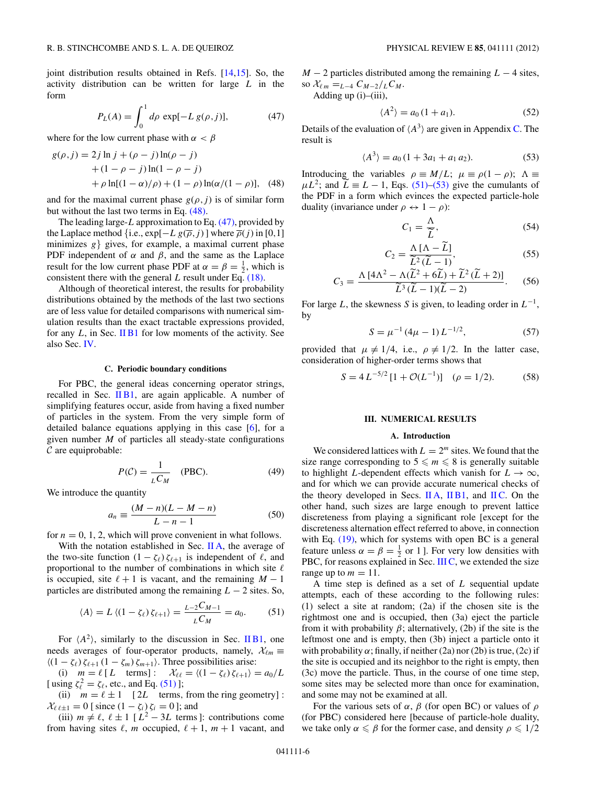<span id="page-5-0"></span>joint distribution results obtained in Refs. [\[14,15\]](#page-12-0). So, the activity distribution can be written for large *L* in the form

$$
P_L(A) = \int_0^1 d\rho \, \exp[-L \, g(\rho, j)], \tag{47}
$$

where for the low current phase with  $\alpha < \beta$ 

*g*(*r* ) = 2*j l*<sub> *j*</sub> + (*ρ* − *j* ) ln(*ρ j* ) ln(*ρ* 

$$
g(\rho, j) = 2j \ln j + (\rho - j) \ln(\rho - j)
$$
  
+ (1 - \rho - j) \ln(1 - \rho - j)  
+ \rho \ln[(1 - \alpha)/\rho) + (1 - \rho) \ln(\alpha/(1 - \rho)), (48)

and for the maximal current phase  $g(\rho, j)$  is of similar form but without the last two terms in Eq.  $(48)$ .

The leading large-*L* approximation to Eq. (47), provided by the Laplace method {i.e.,  $exp[-L g(\overline{\rho},j)]$  where  $\overline{\rho}(j)$  in [0,1] minimizes  $g$  gives, for example, a maximal current phase PDF independent of  $\alpha$  and  $\beta$ , and the same as the Laplace result for the low current phase PDF at  $\alpha = \beta = \frac{1}{2}$ , which is consistent there with the general *L* result under Eq. [\(18\).](#page-2-0)

Although of theoretical interest, the results for probability distributions obtained by the methods of the last two sections are of less value for detailed comparisons with numerical simulation results than the exact tractable expressions provided, for any *L*, in Sec. [II B1](#page-2-0) for low moments of the activity. See also Sec. [IV.](#page-9-0)

#### **C. Periodic boundary conditions**

For PBC, the general ideas concerning operator strings, recalled in Sec. [II B1,](#page-2-0) are again applicable. A number of simplifying features occur, aside from having a fixed number of particles in the system. From the very simple form of detailed balance equations applying in this case [\[6\]](#page-12-0), for a given number *M* of particles all steady-state configurations  $\mathcal C$  are equiprobable:

$$
P(C) = \frac{1}{L C_M} \quad \text{(PBC)}.
$$
 (49)

We introduce the quantity

$$
a_n \equiv \frac{(M-n)(L-M-n)}{L-n-1} \tag{50}
$$

for  $n = 0, 1, 2$ , which will prove convenient in what follows.

With the notation established in Sec. [II A,](#page-1-0) the average of the two-site function  $(1 - \zeta_\ell) \zeta_{\ell+1}$  is independent of  $\ell$ , and proportional to the number of combinations in which site  $\ell$ is occupied, site  $\ell + 1$  is vacant, and the remaining  $M - 1$ particles are distributed among the remaining  $L - 2$  sites. So,

$$
\langle A \rangle = L \langle (1 - \zeta_{\ell}) \zeta_{\ell+1} \rangle = \frac{L - 2C_{M-1}}{L C_M} = a_0. \tag{51}
$$

For  $\langle A^2 \rangle$ , similarly to the discussion in Sec. [II B1,](#page-2-0) one needs averages of four-operator products, namely,  $\mathcal{X}_{\ell m}$  $\langle (1 - \zeta_{\ell}) \zeta_{\ell+1} (1 - \zeta_m) \zeta_{m+1} \rangle$ . Three possibilities arise:

(i)  $m = \ell [L \text{ terms}] : \mathcal{X}_{\ell\ell} = \langle (1 - \zeta_{\ell}) \zeta_{\ell+1} \rangle = a_0/L$ [ using  $\zeta_{\ell}^2 = \zeta_{\ell}$ , etc., and Eq. (51)];

(ii)  $m = \ell \pm 1$  [2*L* terms, from the ring geometry]:  $\mathcal{X}_{\ell \ell \pm 1} = 0$  [ since  $(1 - \zeta_i) \zeta_i = 0$  ]; and

(iii)  $m \neq \ell$ ,  $\ell \pm 1$  [ $L^2 - 3L$  terms]: contributions come from having sites  $\ell$ , *m* occupied,  $\ell + 1$ ,  $m + 1$  vacant, and *M* − 2 particles distributed among the remaining *L* − 4 sites,  $\int \frac{R_{\ell m}}{m} = L_{-4} C_{M-2}/L C_M$ .

Adding up (i)–(iii),

$$
\langle A^2 \rangle = a_0 \left( 1 + a_1 \right). \tag{52}
$$

Details of the evaluation of  $\langle A^3 \rangle$  are given in Appendix [C.](#page-11-0) The result is

$$
\langle A^3 \rangle = a_0 \left( 1 + 3a_1 + a_1 a_2 \right). \tag{53}
$$

Introducing the variables  $\rho \equiv M/L$ ;  $\mu \equiv \rho(1 - \rho)$ ;  $\Lambda \equiv$  $\mu L^2$ ; and  $\widetilde{L} \equiv L - 1$ , Eqs. (51)–(53) give the cumulants of the PDF in a form which evinces the expected particle-hole duality (invariance under  $\rho \leftrightarrow 1 - \rho$ ):

$$
C_1 = \frac{\Lambda}{\widetilde{L}},\tag{54}
$$

$$
C_2 = \frac{\Lambda \left[ \Lambda - L \right]}{\tilde{L}^2 (\tilde{L} - 1)},\tag{55}
$$

$$
C_3 = \frac{\Lambda \left[4\Lambda^2 - \Lambda(\widetilde{L}^2 + 6\widetilde{L}) + \widetilde{L}^2(\widetilde{L} + 2)\right]}{\widetilde{L}^3(\widetilde{L} - 1)(\widetilde{L} - 2)}.
$$
 (56)

For large *L*, the skewness *S* is given, to leading order in  $L^{-1}$ , by

$$
S = \mu^{-1} (4\mu - 1) L^{-1/2}, \tag{57}
$$

provided that  $\mu \neq 1/4$ , i.e.,  $\rho \neq 1/2$ . In the latter case, consideration of higher-order terms shows that

$$
S = 4 L^{-5/2} [1 + \mathcal{O}(L^{-1})] \quad (\rho = 1/2). \tag{58}
$$

## **III. NUMERICAL RESULTS**

#### **A. Introduction**

We considered lattices with  $L = 2^m$  sites. We found that the size range corresponding to  $5 \leq m \leq 8$  is generally suitable to highlight *L*-dependent effects which vanish for  $L \to \infty$ , and for which we can provide accurate numerical checks of the theory developed in Secs. [II A,](#page-1-0)  $\text{IIB1}$ , and IIC. On the other hand, such sizes are large enough to prevent lattice discreteness from playing a significant role [except for the discreteness alternation effect referred to above, in connection with Eq.  $(19)$ , which for systems with open BC is a general feature unless  $\alpha = \beta = \frac{1}{2}$  or 1]. For very low densities with PBC, for reasons explained in Sec. [III C,](#page-7-0) we extended the size range up to  $m = 11$ .

A time step is defined as a set of *L* sequential update attempts, each of these according to the following rules: (1) select a site at random; (2a) if the chosen site is the rightmost one and is occupied, then (3a) eject the particle from it with probability  $\beta$ ; alternatively, (2b) if the site is the leftmost one and is empty, then (3b) inject a particle onto it with probability  $\alpha$ ; finally, if neither (2a) nor (2b) is true, (2c) if the site is occupied and its neighbor to the right is empty, then (3c) move the particle. Thus, in the course of one time step, some sites may be selected more than once for examination, and some may not be examined at all.

For the various sets of *α*, *β* (for open BC) or values of *ρ* (for PBC) considered here [because of particle-hole duality, we take only  $\alpha \leq \beta$  for the former case, and density  $\rho \leq 1/2$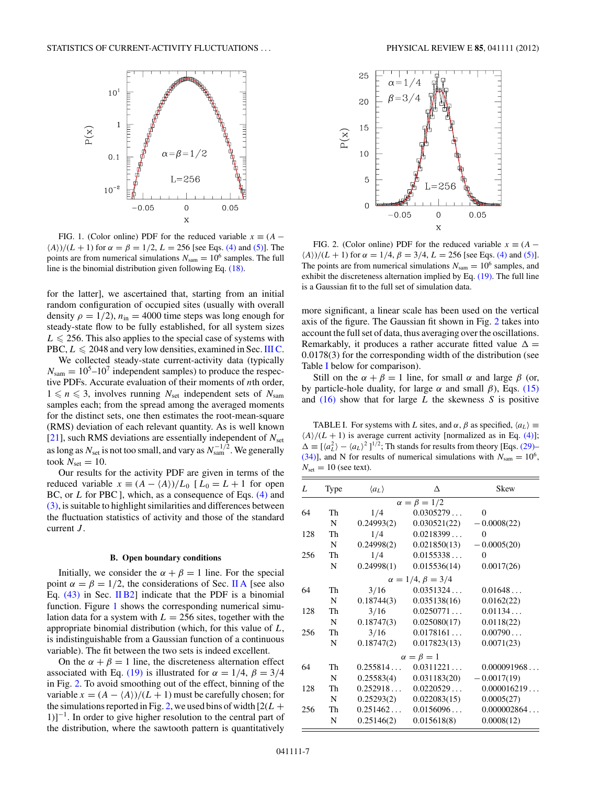<span id="page-6-0"></span>

FIG. 1. (Color online) PDF for the reduced variable  $x \equiv (A -$ *A*))/(*L* + 1) for  $\alpha = \beta = 1/2$ , *L* = 256 [see Eqs. [\(4\)](#page-1-0) and [\(5\)\]](#page-1-0). The points are from numerical simulations  $N_{\text{sam}} = 10^6$  samples. The full line is the binomial distribution given following Eq. [\(18\).](#page-2-0)

for the latter], we ascertained that, starting from an initial random configuration of occupied sites (usually with overall density  $\rho = 1/2$ ,  $n_{\text{in}} = 4000$  time steps was long enough for steady-state flow to be fully established, for all system sizes  $L \le 256$ . This also applies to the special case of systems with PBC,  $L \leqslant 2048$  and very low densities, examined in Sec. [III C.](#page-7-0)

We collected steady-state current-activity data (typically  $N_{\text{sam}} = 10^5 - 10^7$  independent samples) to produce the respective PDFs. Accurate evaluation of their moments of *n*th order,  $1 \leq n \leq 3$ , involves running  $N_{\text{set}}$  independent sets of  $N_{\text{sam}}$ samples each; from the spread among the averaged moments for the distinct sets, one then estimates the root-mean-square (RMS) deviation of each relevant quantity. As is well known [\[21\]](#page-12-0), such RMS deviations are essentially independent of  $N_{\text{set}}$ as long as  $N_{\rm set}$  is not too small, and vary as  $N_{\rm sam}^{-1/2}$  . We generally took  $N_{\text{set}} = 10$ .

Our results for the activity PDF are given in terms of the reduced variable  $x \equiv (A - \langle A \rangle)/L_0$  [ $L_0 = L + 1$  for open BC, or *L* for PBC ], which, as a consequence of Eqs. [\(4\)](#page-1-0) and [\(3\),](#page-1-0) is suitable to highlight similarities and differences between the fluctuation statistics of activity and those of the standard current *J* .

#### **B. Open boundary conditions**

Initially, we consider the  $\alpha + \beta = 1$  line. For the special point  $\alpha = \beta = 1/2$ , the considerations of Sec. [II A](#page-1-0) [see also Eq.  $(43)$  in Sec. [II B2\]](#page-3-0) indicate that the PDF is a binomial function. Figure 1 shows the corresponding numerical simulation data for a system with  $L = 256$  sites, together with the appropriate binomial distribution (which, for this value of *L*, is indistinguishable from a Gaussian function of a continuous variable). The fit between the two sets is indeed excellent.

On the  $\alpha + \beta = 1$  line, the discreteness alternation effect associated with Eq. [\(19\)](#page-2-0) is illustrated for  $\alpha = 1/4$ ,  $\beta = 3/4$ in Fig. 2. To avoid smoothing out of the effect, binning of the variable  $x = (A - \langle A \rangle)/(L + 1)$  must be carefully chosen; for the simulations reported in Fig. 2, we used bins of width  $[2(L +$  $1$ ]<sup>-1</sup>. In order to give higher resolution to the central part of the distribution, where the sawtooth pattern is quantitatively



FIG. 2. (Color online) PDF for the reduced variable  $x \equiv (A (A)$ */*( $L + 1$ ) for  $\alpha = 1/4$ ,  $\beta = 3/4$ ,  $L = 256$  [see Eqs. [\(4\)](#page-1-0) and [\(5\)\]](#page-1-0). The points are from numerical simulations  $N_{\text{sam}} = 10^6$  samples, and exhibit the discreteness alternation implied by Eq. [\(19\).](#page-2-0) The full line is a Gaussian fit to the full set of simulation data.

more significant, a linear scale has been used on the vertical axis of the figure. The Gaussian fit shown in Fig. 2 takes into account the full set of data, thus averaging over the oscillations. Remarkably, it produces a rather accurate fitted value  $\Delta =$ 0*.*0178(3) for the corresponding width of the distribution (see Table I below for comparison).

Still on the  $\alpha + \beta = 1$  line, for small  $\alpha$  and large  $\beta$  (or, by particle-hole duality, for large *α* and small *β*), Eqs. [\(15\)](#page-2-0) and [\(16\)](#page-2-0) show that for large *L* the skewness *S* is positive

TABLE I. For systems with *L* sites, and  $\alpha$ ,  $\beta$  as specified,  $\langle a_L \rangle \equiv$  $\langle A \rangle / (L + 1)$  is average current activity [normalized as in Eq. [\(4\)\]](#page-1-0);  $\Delta \equiv [\langle a_L^2 \rangle - \langle a_L \rangle^2]^{1/2}$ ; Th stands for results from theory [Eqs. [\(29\)–](#page-3-0) [\(34\)\]](#page-3-0), and N for results of numerical simulations with  $N_{\text{sam}} = 10^6$ ,  $N_{\text{set}} = 10$  (see text).

| L   | Type | $\langle a_L \rangle$ | Δ                           | Skew           |
|-----|------|-----------------------|-----------------------------|----------------|
|     |      |                       | $\alpha = \beta = 1/2$      |                |
| 64  | Th   | 1/4                   | 0.0305279                   | $\overline{0}$ |
|     | N    | 0.24993(2)            | 0.030521(22)                | $-0.0008(22)$  |
| 128 | Th   | 1/4                   | 0.0218399                   | $\theta$       |
|     | N    | 0.24998(2)            | 0.021850(13)                | $-0.0005(20)$  |
| 256 | Th   | 1/4                   | 0.0155338                   | $\Omega$       |
|     | N    | 0.24998(1)            | 0.015536(14)                | 0.0017(26)     |
|     |      |                       | $\alpha = 1/4, \beta = 3/4$ |                |
| 64  | Th   | 3/16                  | 0.0351324                   | 0.01648        |
|     | N    | 0.18744(3)            | 0.035138(16)                | 0.0162(22)     |
| 128 | Th   | 3/16                  | 0.0250771                   | 0.01134        |
|     | N    | 0.18747(3)            | 0.025080(17)                | 0.0118(22)     |
| 256 | Th   | 3/16                  | 0.0178161                   | 0.00790        |
|     | N    | 0.18747(2)            | 0.017823(13)                | 0.0071(23)     |
|     |      |                       | $\alpha = \beta = 1$        |                |
| 64  | Th   | 0.255814              | 0.0311221                   | 0.000091968    |
|     | N    | 0.25583(4)            | 0.031183(20)                | $-0.0017(19)$  |
| 128 | Th   | 0.252918              | 0.0220529                   | 0.000016219    |
|     | N    | 0.25293(2)            | 0.022083(15)                | 0.0005(27)     |
| 256 | Th   | 0.251462              | 0.0156096                   | 0.000002864    |
|     | N    | 0.25146(2)            | 0.015618(8)                 | 0.0008(12)     |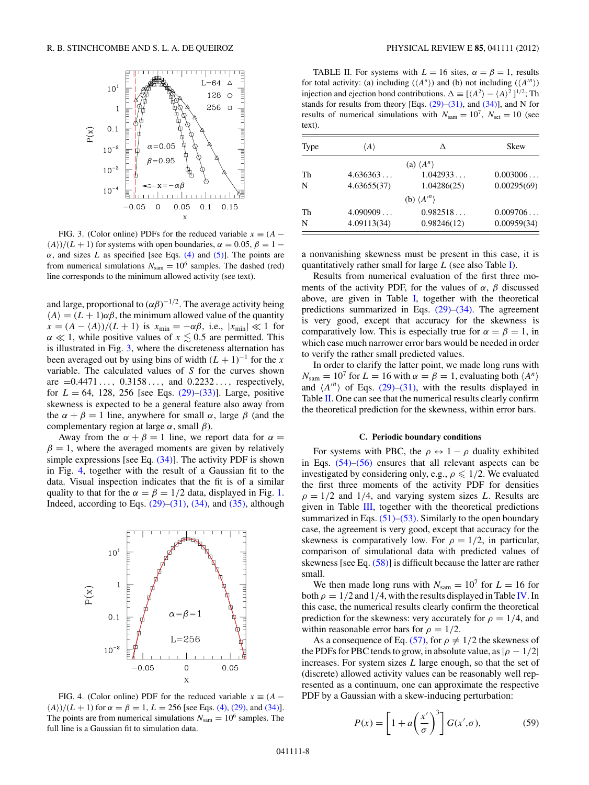<span id="page-7-0"></span>

FIG. 3. (Color online) PDFs for the reduced variable  $x \equiv (A (A)/(L + 1)$  for systems with open boundaries,  $\alpha = 0.05$ ,  $\beta = 1 \alpha$ , and sizes *L* as specified [see Eqs. [\(4\)](#page-1-0) and [\(5\)\]](#page-1-0). The points are from numerical simulations  $N_{\text{sam}} = 10^6$  samples. The dashed (red) line corresponds to the minimum allowed activity (see text).

and large, proportional to  $(\alpha\beta)^{-1/2}$ . The average activity being  $\langle A \rangle = (L + 1)\alpha\beta$ , the minimum allowed value of the quantity  $x = (A - \langle A \rangle)/(L + 1)$  is  $x_{\min} = -\alpha \beta$ , i.e.,  $|x_{\min}| \ll 1$  for  $\alpha \ll 1$ , while positive values of  $x \lesssim 0.5$  are permitted. This is illustrated in Fig. 3, where the discreteness alternation has been averaged out by using bins of width  $(L + 1)^{-1}$  for the *x* variable. The calculated values of *S* for the curves shown are =0*.*4471 *...,* 0*.*3158 *...,* and 0*.*2232 *...,* respectively, for  $L = 64$ , 128, 256 [see Eqs.  $(29)$ – $(33)$ ]. Large, positive skewness is expected to be a general feature also away from the  $\alpha + \beta = 1$  line, anywhere for small  $\alpha$ , large  $\beta$  (and the complementary region at large *α*, small *β*).

Away from the  $\alpha + \beta = 1$  line, we report data for  $\alpha =$  $\beta = 1$ , where the averaged moments are given by relatively simple expressions [see Eq.  $(34)$ ]. The activity PDF is shown in Fig. 4, together with the result of a Gaussian fit to the data. Visual inspection indicates that the fit is of a similar quality to that for the  $\alpha = \beta = 1/2$  data, displayed in Fig. [1.](#page-6-0) Indeed, according to Eqs.  $(29)$ – $(31)$ ,  $(34)$ , and  $(35)$ , although



FIG. 4. (Color online) PDF for the reduced variable  $x \equiv (A \langle A \rangle$ / $(L + 1)$  for  $\alpha = \beta = 1, L = 256$  [see Eqs. [\(4\),](#page-1-0) [\(29\),](#page-3-0) and [\(34\)\]](#page-3-0). The points are from numerical simulations  $N_{\text{sam}} = 10^6$  samples. The full line is a Gaussian fit to simulation data.

TABLE II. For systems with  $L = 16$  sites,  $\alpha = \beta = 1$ , results for total activity: (a) including  $(\langle A^n \rangle)$  and (b) not including  $(\langle A^m \rangle)$ injection and ejection bond contributions.  $\Delta = [\langle A^2 \rangle - \langle A \rangle^2]^{1/2}$ ; Th stands for results from theory [Eqs.  $(29)$ – $(31)$ , and  $(34)$ ], and N for results of numerical simulations with  $N_{\text{sam}} = 10^7$ ,  $N_{\text{set}} = 10$  (see text).

| Type | $\langle A \rangle$ | Δ                         | Skew        |
|------|---------------------|---------------------------|-------------|
|      |                     | (a) $\langle A^n \rangle$ |             |
| Th   | 4.636363            | 1.042933                  | 0.003006    |
| N    | 4.63655(37)         | 1.04286(25)               | 0.00295(69) |
|      |                     | (b) $\langle A'' \rangle$ |             |
| Th   | 4.090909            | 0.982518                  | 0.009706    |
| N    | 4.09113(34)         | 0.98246(12)               | 0.00959(34) |

a nonvanishing skewness must be present in this case, it is quantitatively rather small for large *L* (see also Table I).

Results from numerical evaluation of the first three moments of the activity PDF, for the values of  $\alpha$ ,  $\beta$  discussed above, are given in Table I, together with the theoretical predictions summarized in Eqs.  $(29)$ – $(34)$ . The agreement is very good, except that accuracy for the skewness is comparatively low. This is especially true for  $\alpha = \beta = 1$ , in which case much narrower error bars would be needed in order to verify the rather small predicted values.

In order to clarify the latter point, we made long runs with  $N_{\text{sam}} = 10^7$  for  $L = 16$  with  $\alpha = \beta = 1$ , evaluating both  $\langle A^n \rangle$ and  $\langle A^n \rangle$  of Eqs. [\(29\)–\(31\),](#page-3-0) with the results displayed in Table II. One can see that the numerical results clearly confirm the theoretical prediction for the skewness, within error bars.

### **C. Periodic boundary conditions**

For systems with PBC, the  $\rho \leftrightarrow 1 - \rho$  duality exhibited in Eqs. [\(54\)–\(56\)](#page-5-0) ensures that all relevant aspects can be investigated by considering only, e.g.,  $\rho \leq 1/2$ . We evaluated the first three moments of the activity PDF for densities  $\rho = 1/2$  and 1/4, and varying system sizes *L*. Results are given in Table III, together with the theoretical predictions summarized in Eqs.  $(51)$ – $(53)$ . Similarly to the open boundary case, the agreement is very good, except that accuracy for the skewness is comparatively low. For  $\rho = 1/2$ , in particular, comparison of simulational data with predicted values of skewness [see Eq. [\(58\)\]](#page-5-0) is difficult because the latter are rather small.

We then made long runs with  $N_{\text{sam}} = 10^7$  for  $L = 16$  for both  $\rho = 1/2$  and 1/4, with the results displayed in Table IV. In this case, the numerical results clearly confirm the theoretical prediction for the skewness: very accurately for  $\rho = 1/4$ , and within reasonable error bars for  $\rho = 1/2$ .

As a consequence of Eq. [\(57\),](#page-5-0) for  $\rho \neq 1/2$  the skewness of the PDFs for PBC tends to grow, in absolute value, as  $|\rho - 1/2|$ increases. For system sizes *L* large enough, so that the set of (discrete) allowed activity values can be reasonably well represented as a continuum, one can approximate the respective PDF by a Gaussian with a skew-inducing perturbation:

$$
P(x) = \left[1 + a\left(\frac{x'}{\sigma}\right)^3\right]G(x', \sigma),\tag{59}
$$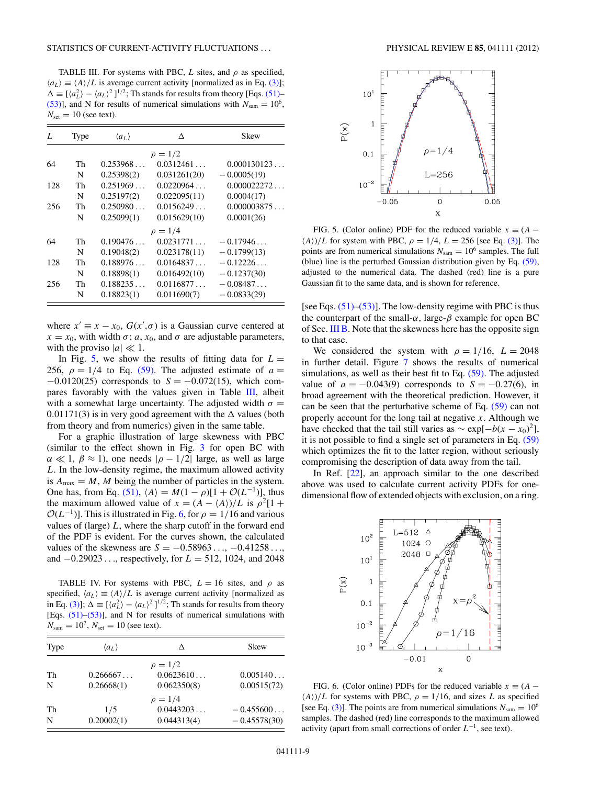TABLE III. For systems with PBC,  $L$  sites, and  $\rho$  as specified,  $\langle a_L \rangle \equiv \langle A \rangle / L$  is average current activity [normalized as in Eq. [\(3\)\]](#page-1-0);  $\Delta \equiv [\langle a_L^2 \rangle - \langle a_L \rangle^2]^{1/2}$ ; Th stands for results from theory [Eqs. [\(51\)–](#page-5-0) [\(53\)\]](#page-5-0), and N for results of numerical simulations with  $N_{\text{sam}} = 10^6$ ,  $N_{\text{set}} = 10$  (see text).

| L   | Type | $\langle a_L \rangle$ | Δ            | Skew          |
|-----|------|-----------------------|--------------|---------------|
|     |      |                       | $\rho = 1/2$ |               |
| 64  | Th   | 0.253968              | 0.0312461    | 0.000130123   |
|     | N    | 0.25398(2)            | 0.031261(20) | $-0.0005(19)$ |
| 128 | Th   | 0.251969              | 0.0220964    | 0.000022272   |
|     | N    | 0.25197(2)            | 0.022095(11) | 0.0004(17)    |
| 256 | Th   | 0.250980              | 0.0156249    | 0.000003875   |
|     | N    | 0.25099(1)            | 0.015629(10) | 0.0001(26)    |
|     |      |                       | $\rho = 1/4$ |               |
| 64  | Th   | 0.190476              | 0.0231771    | $-0.17946$    |
|     | N    | 0.19048(2)            | 0.023178(11) | $-0.1799(13)$ |
| 128 | Th   | 0.188976              | 0.0164837    | $-0.12226$    |
|     | N    | 0.18898(1)            | 0.016492(10) | $-0.1237(30)$ |
| 256 | Th   | 0.188235              | 0.0116877    | $-0.08487$    |
|     | N    | 0.18823(1)            | 0.011690(7)  | $-0.0833(29)$ |

where  $x' \equiv x - x_0$ ,  $G(x', \sigma)$  is a Gaussian curve centered at  $x = x_0$ , with width  $\sigma$ ; *a*,  $x_0$ , and  $\sigma$  are adjustable parameters, with the proviso  $|a| \ll 1$ .

In Fig. 5, we show the results of fitting data for  $L =$ 256,  $\rho = 1/4$  to Eq. [\(59\).](#page-7-0) The adjusted estimate of  $a =$ −0*.*0120(25) corresponds to *S* = −0*.*072(15), which compares favorably with the values given in Table III, albeit with a somewhat large uncertainty. The adjusted width  $\sigma =$  $0.01171(3)$  is in very good agreement with the  $\Delta$  values (both from theory and from numerics) given in the same table.

For a graphic illustration of large skewness with PBC (similar to the effect shown in Fig. [3](#page-7-0) for open BC with  $\alpha \ll 1$ ,  $\beta \approx 1$ ), one needs  $|\rho - 1/2|$  large, as well as large *L*. In the low-density regime, the maximum allowed activity is  $A_{\text{max}} = M$ , M being the number of particles in the system. One has, from Eq. [\(51\),](#page-5-0)  $\langle A \rangle = M(1 - \rho)[1 + \mathcal{O}(L^{-1})]$ , thus the maximum allowed value of  $x = (A - \langle A \rangle)/L$  is  $\rho^2[1 +$  $\mathcal{O}(L^{-1})$ ]. This is illustrated in Fig. 6, for  $\rho = 1/16$  and various values of (large) *L*, where the sharp cutoff in the forward end of the PDF is evident. For the curves shown, the calculated values of the skewness are *S* = −0*.*58963 *...*, −0*.*41258 *...*, and −0*.*29023 *...*, respectively, for *L* = 512, 1024, and 2048

TABLE IV. For systems with PBC,  $L = 16$  sites, and  $\rho$  as specified,  $\langle a_L \rangle \equiv \langle A \rangle /L$  is average current activity [normalized as in Eq. [\(3\)\]](#page-1-0);  $\Delta = \frac{[(a_L^2) - (a_L)^2]^{1/2}}{1}$ ; Th stands for results from theory [Eqs. [\(51\)–\(53\)\]](#page-5-0), and N for results of numerical simulations with  $N_{\text{sam}} = 10^7$ ,  $N_{\text{set}} = 10$  (see text).

| Type | $\langle a_L \rangle$ | Δ            | <b>Skew</b>    |
|------|-----------------------|--------------|----------------|
|      |                       | $\rho = 1/2$ |                |
| Th   | 0.266667              | 0.0623610    | 0.005140       |
| N    | 0.26668(1)            | 0.062350(8)  | 0.00515(72)    |
|      |                       | $\rho = 1/4$ |                |
| Th   | 1/5                   | 0.0443203    | $-0.455600$    |
| N    | 0.20002(1)            | 0.044313(4)  | $-0.45578(30)$ |



FIG. 5. (Color online) PDF for the reduced variable  $x \equiv (A \langle A \rangle$ */L* for system with PBC,  $\rho = 1/4$ ,  $L = 256$  [see Eq. [\(3\)\]](#page-1-0). The points are from numerical simulations  $N_{\text{sam}} = 10^6$  samples. The full (blue) line is the perturbed Gaussian distribution given by Eq. [\(59\),](#page-7-0) adjusted to the numerical data. The dashed (red) line is a pure Gaussian fit to the same data, and is shown for reference.

[see Eqs.  $(51)$ – $(53)$ ]. The low-density regime with PBC is thus the counterpart of the small- $\alpha$ , large- $\beta$  example for open BC of Sec. [III B.](#page-6-0) Note that the skewness here has the opposite sign to that case.

We considered the system with  $\rho = 1/16$ ,  $L = 2048$ in further detail. Figure [7](#page-9-0) shows the results of numerical simulations, as well as their best fit to Eq. [\(59\).](#page-7-0) The adjusted value of  $a = -0.043(9)$  corresponds to  $S = -0.27(6)$ , in broad agreement with the theoretical prediction. However, it can be seen that the perturbative scheme of Eq. [\(59\)](#page-7-0) can not properly account for the long tail at negative *x*. Although we have checked that the tail still varies as  $\sim \exp[-b(x - x_0)^2]$ , it is not possible to find a single set of parameters in Eq. [\(59\)](#page-7-0) which optimizes the fit to the latter region, without seriously compromising the description of data away from the tail.

In Ref. [\[22\]](#page-12-0), an approach similar to the one described above was used to calculate current activity PDFs for onedimensional flow of extended objects with exclusion, on a ring.



FIG. 6. (Color online) PDFs for the reduced variable  $x \equiv (A (A)/L$  for systems with PBC,  $\rho = 1/16$ , and sizes *L* as specified [see Eq. [\(3\)\]](#page-1-0). The points are from numerical simulations  $N_{\text{sam}} = 10^6$ samples. The dashed (red) line corresponds to the maximum allowed activity (apart from small corrections of order  $L^{-1}$ , see text).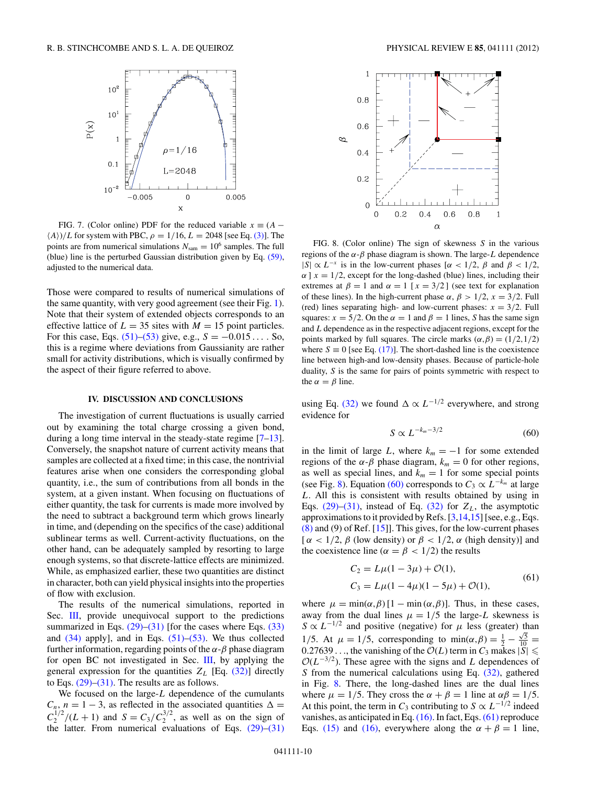<span id="page-9-0"></span>

FIG. 7. (Color online) PDF for the reduced variable  $x \equiv (A (A)/L$  for system with PBC,  $\rho = 1/16$ ,  $L = 2048$  [see Eq. [\(3\)\]](#page-1-0). The points are from numerical simulations  $N_{\text{sam}} = 10^6$  samples. The full (blue) line is the perturbed Gaussian distribution given by Eq. [\(59\),](#page-7-0) adjusted to the numerical data.

Those were compared to results of numerical simulations of the same quantity, with very good agreement (see their Fig. [1\)](#page-6-0). Note that their system of extended objects corresponds to an effective lattice of  $L = 35$  sites with  $M = 15$  point particles. For this case, Eqs.  $(51)–(53)$  give, e.g.,  $S = -0.015...$  . So, this is a regime where deviations from Gaussianity are rather small for activity distributions, which is visually confirmed by the aspect of their figure referred to above.

## **IV. DISCUSSION AND CONCLUSIONS**

The investigation of current fluctuations is usually carried out by examining the total charge crossing a given bond, during a long time interval in the steady-state regime [\[7–13\]](#page-12-0). Conversely, the snapshot nature of current activity means that samples are collected at a fixed time; in this case, the nontrivial features arise when one considers the corresponding global quantity, i.e., the sum of contributions from all bonds in the system, at a given instant. When focusing on fluctuations of either quantity, the task for currents is made more involved by the need to subtract a background term which grows linearly in time, and (depending on the specifics of the case) additional sublinear terms as well. Current-activity fluctuations, on the other hand, can be adequately sampled by resorting to large enough systems, so that discrete-lattice effects are minimized. While, as emphasized earlier, these two quantities are distinct in character, both can yield physical insights into the properties of flow with exclusion.

The results of the numerical simulations, reported in Sec. [III,](#page-5-0) provide unequivocal support to the predictions summarized in Eqs.  $(29)$ – $(31)$  [for the cases where Eqs.  $(33)$ and  $(34)$  apply], and in Eqs.  $(51)$ – $(53)$ . We thus collected further information, regarding points of the *α*-*β* phase diagram for open BC not investigated in Sec. [III,](#page-5-0) by applying the general expression for the quantities  $Z_L$  [Eq. [\(32\)\]](#page-3-0) directly to Eqs.  $(29)$ – $(31)$ . The results are as follows.

We focused on the large-*L* dependence of the cumulants  $C_n$ ,  $n = 1 - 3$ , as reflected in the associated quantities  $\Delta =$  $C_2^{1/2}/(L+1)$  and  $S = C_3/C_2^{3/2}$ , as well as on the sign of the latter. From numerical evaluations of Eqs.  $(29)$ – $(31)$ 



FIG. 8. (Color online) The sign of skewness *S* in the various regions of the *α*-*β* phase diagram is shown. The large-*L* dependence |*S*| ∝ *L*<sup>−</sup>*<sup>x</sup>* is in the low-current phases [*α <* 1*/*2, *β* and *β <* 1*/*2, *α* ]  $x = 1/2$ , except for the long-dashed (blue) lines, including their extremes at  $\beta = 1$  and  $\alpha = 1$  [ $x = 3/2$ ] (see text for explanation of these lines). In the high-current phase  $\alpha$ ,  $\beta$  > 1/2,  $x = 3/2$ . Full (red) lines separating high- and low-current phases:  $x = 3/2$ . Full squares:  $x = 5/2$ . On the  $\alpha = 1$  and  $\beta = 1$  lines, *S* has the same sign and *L* dependence as in the respective adjacent regions, except for the points marked by full squares. The circle marks  $(\alpha, \beta) = (1/2, 1/2)$ where  $S \equiv 0$  [see Eq. [\(17\)\]](#page-2-0). The short-dashed line is the coexistence line between high-and low-density phases. Because of particle-hole duality, *S* is the same for pairs of points symmetric with respect to the  $\alpha = \beta$  line.

using Eq. [\(32\)](#page-3-0) we found  $\Delta \propto L^{-1/2}$  everywhere, and strong evidence for

$$
S \propto L^{-k_m - 3/2} \tag{60}
$$

in the limit of large *L*, where  $k_m = -1$  for some extended regions of the *α*-*β* phase diagram,  $k<sub>m</sub> = 0$  for other regions, as well as special lines, and  $k_m = 1$  for some special points (see Fig. 8). Equation (60) corresponds to  $C_3 \propto L^{-k_m}$  at large *L*. All this is consistent with results obtained by using in Eqs.  $(29)$ – $(31)$ , instead of Eq.  $(32)$  for  $Z_L$ , the asymptotic approximations to it provided by Refs. [\[3,](#page-11-0)[14,15\]](#page-12-0) [see, e.g., Eqs. [\(8\)](#page-1-0) and (9) of Ref. [\[15\]](#page-12-0)]. This gives, for the low-current phases [ $\alpha$  < 1/2,  $\beta$  (low density) or  $\beta$  < 1/2,  $\alpha$  (high density)] and the coexistence line ( $\alpha = \beta < 1/2$ ) the results

$$
C_2 = L\mu(1 - 3\mu) + \mathcal{O}(1),
$$
  
\n
$$
C_3 = L\mu(1 - 4\mu)(1 - 5\mu) + \mathcal{O}(1),
$$
\n(61)

where  $\mu = \min(\alpha, \beta) [1 - \min(\alpha, \beta)]$ . Thus, in these cases, away from the dual lines  $\mu = 1/5$  the large-*L* skewness is  $S \propto L^{-1/2}$  and positive (negative) for  $\mu$  less (greater) than 1/5. At  $μ = 1/5$ , corresponding to min( $α, β$ ) =  $\frac{1}{2} - \frac{\sqrt{5}}{10}$  = 0.27639 . . ., the vanishing of the  $\mathcal{O}(L)$  term in  $C_3$  makes  $|\widetilde{S}| \leqslant$  $O(L^{-3/2})$ . These agree with the signs and *L* dependences of *S* from the numerical calculations using Eq. [\(32\),](#page-3-0) gathered in Fig. 8. There, the long-dashed lines are the dual lines where  $\mu = 1/5$ . They cross the  $\alpha + \beta = 1$  line at  $\alpha\beta = 1/5$ . At this point, the term in  $C_3$  contributing to  $S \propto L^{-1/2}$  indeed vanishes, as anticipated in Eq.  $(16)$ . In fact, Eqs.  $(61)$  reproduce Eqs. [\(15\)](#page-2-0) and [\(16\),](#page-2-0) everywhere along the  $\alpha + \beta = 1$  line,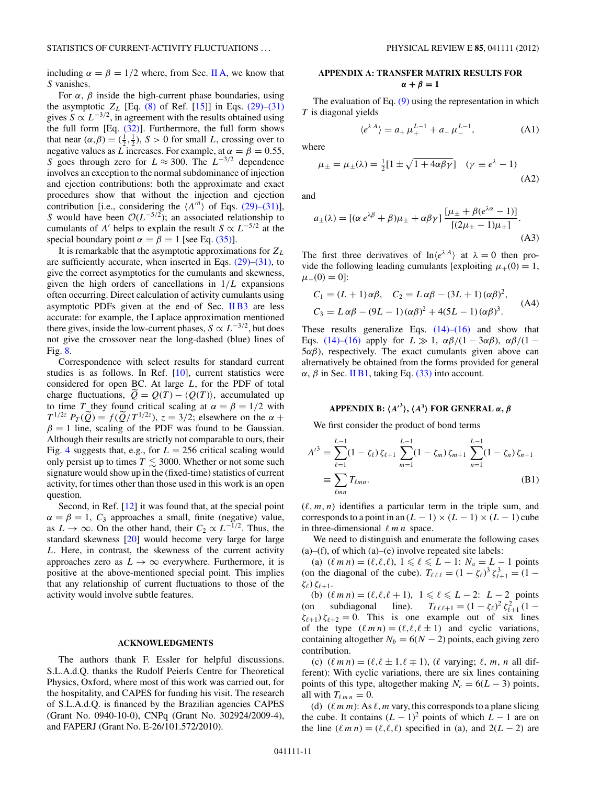<span id="page-10-0"></span>including  $\alpha = \beta = 1/2$  where, from Sec. [II A,](#page-1-0) we know that *S* vanishes.

For  $\alpha$ ,  $\beta$  inside the high-current phase boundaries, using the asymptotic  $Z_L$  [Eq. [\(8\)](#page-1-0) of Ref. [\[15\]](#page-12-0)] in Eqs. [\(29\)–\(31\)](#page-3-0) gives  $S \propto L^{-3/2}$ , in agreement with the results obtained using the full form [Eq. [\(32\)\]](#page-3-0). Furthermore, the full form shows that near  $(\alpha, \beta) = (\frac{1}{2}, \frac{1}{2})$ ,  $S > 0$  for small *L*, crossing over to negative values as *L* increases. For example, at  $\alpha = \beta = 0.55$ , *S* goes through zero for  $L \approx 300$ . The  $L^{-3/2}$  dependence involves an exception to the normal subdominance of injection and ejection contributions: both the approximate and exact procedures show that without the injection and ejection contribution [i.e., considering the  $\langle A^{n} \rangle$  of Eqs. [\(29\)–\(31\)\]](#page-3-0), *S* would have been  $O(L^{-5/2})$ ; an associated relationship to cumulants of *A'* helps to explain the result  $S \propto L^{-5/2}$  at the special boundary point  $\alpha = \beta = 1$  [see Eq. [\(35\)\]](#page-3-0).

It is remarkable that the asymptotic approximations for *ZL* are sufficiently accurate, when inserted in Eqs.  $(29)$ – $(31)$ , to give the correct asymptotics for the cumulants and skewness, given the high orders of cancellations in 1*/L* expansions often occurring. Direct calculation of activity cumulants using asymptotic PDFs given at the end of Sec. [II B3](#page-4-0) are less accurate: for example, the Laplace approximation mentioned there gives, inside the low-current phases,  $S \propto L^{-3/2}$ , but does not give the crossover near the long-dashed (blue) lines of Fig. [8.](#page-9-0)

Correspondence with select results for standard current studies is as follows. In Ref. [\[10\]](#page-12-0), current statistics were considered for open BC. At large *L*, for the PDF of total charge fluctuations,  $Q = Q(T) - \langle Q(T) \rangle$ , accumulated up to time *T* they found critical scaling at  $\alpha = \beta = 1/2$  with  $T^{1/2z}$   $P_T(\widetilde{Q}) = f(\widetilde{Q}/T^{1/2z})$ ,  $z = 3/2$ ; elsewhere on the  $\alpha +$  $\beta = 1$  line, scaling of the PDF was found to be Gaussian. Although their results are strictly not comparable to ours, their Fig. [4](#page-7-0) suggests that, e.g., for  $L = 256$  critical scaling would only persist up to times  $T \lesssim 3000$ . Whether or not some such signature would show up in the (fixed-time) statistics of current activity, for times other than those used in this work is an open question.

Second, in Ref. [\[12\]](#page-12-0) it was found that, at the special point  $\alpha = \beta = 1$ ,  $C_3$  approaches a small, finite (negative) value, as  $L \rightarrow \infty$ . On the other hand, their  $C_2 \propto L^{-1/2}$ . Thus, the standard skewness [\[20\]](#page-12-0) would become very large for large *L*. Here, in contrast, the skewness of the current activity approaches zero as  $L \rightarrow \infty$  everywhere. Furthermore, it is positive at the above-mentioned special point. This implies that any relationship of current fluctuations to those of the activity would involve subtle features.

#### **ACKNOWLEDGMENTS**

The authors thank F. Essler for helpful discussions. S.L.A.d.Q. thanks the Rudolf Peierls Centre for Theoretical Physics, Oxford, where most of this work was carried out, for the hospitality, and CAPES for funding his visit. The research of S.L.A.d.Q. is financed by the Brazilian agencies CAPES (Grant No. 0940-10-0), CNPq (Grant No. 302924/2009-4), and FAPERJ (Grant No. E-26/101.572/2010).

## **APPENDIX A: TRANSFER MATRIX RESULTS FOR**  $\alpha + \beta = 1$

The evaluation of Eq.  $(9)$  using the representation in which *T* is diagonal yields

$$
\langle e^{\lambda A} \rangle = a_+ \mu_+^{L-1} + a_- \mu_-^{L-1}, \tag{A1}
$$

where

$$
\mu_{\pm} = \mu_{\pm}(\lambda) = \frac{1}{2} [1 \pm \sqrt{1 + 4\alpha\beta\gamma}] \quad (\gamma \equiv e^{\lambda} - 1)
$$
\n(A2)

and

$$
a_{\pm}(\lambda) = \left[ (\alpha e^{\lambda \beta} + \beta) \mu_{\pm} + \alpha \beta \gamma \right] \frac{[\mu_{\pm} + \beta (e^{\lambda \alpha} - 1)]}{[(2\mu_{\pm} - 1)\mu_{\pm}]}.
$$
\n(A3)

The first three derivatives of  $\ln \langle e^{\lambda A} \rangle$  at  $\lambda = 0$  then provide the following leading cumulants [exploiting  $\mu_{+}(0) = 1$ ,  $\mu_-(0) = 0$ :

$$
C_1 = (L+1)\alpha\beta, \quad C_2 = L\alpha\beta - (3L+1)(\alpha\beta)^2,
$$
  
\n
$$
C_3 = L\alpha\beta - (9L-1)(\alpha\beta)^2 + 4(5L-1)(\alpha\beta)^3.
$$
 (A4)

These results generalize Eqs.  $(14)$ – $(16)$  and show that Eqs. [\(14\)–\(16\)](#page-2-0) apply for  $L \gg 1$ ,  $\alpha\beta/(1 - 3\alpha\beta)$ ,  $\alpha\beta/(1 5\alpha\beta$ ), respectively. The exact cumulants given above can alternatively be obtained from the forms provided for general  $\alpha$ ,  $\beta$  in Sec. [II B1,](#page-2-0) taking Eq. [\(33\)](#page-3-0) into account.

# **APPENDIX B: -***A***<sup>3</sup> , -***A***<sup>3</sup> FOR GENERAL** *α***,** *β*

We first consider the product of bond terms

$$
A'^3 = \sum_{\ell=1}^{L-1} (1 - \zeta_{\ell}) \zeta_{\ell+1} \sum_{m=1}^{L-1} (1 - \zeta_m) \zeta_{m+1} \sum_{n=1}^{L-1} (1 - \zeta_n) \zeta_{n+1}
$$
  
= 
$$
\sum_{\ell mn} T_{\ell mn}.
$$
 (B1)

 $(\ell, m, n)$  identifies a particular term in the triple sum, and corresponds to a point in an  $(L - 1) \times (L - 1) \times (L - 1)$  cube in three-dimensional  $\ell m n$  space.

We need to distinguish and enumerate the following cases  $(a)$ –(f), of which  $(a)$ –(e) involve repeated site labels:

(a)  $(\ell m n) = (\ell, \ell, \ell), 1 \leq \ell \leq L - 1$ :  $N_a = L - 1$  points (on the diagonal of the cube).  $T_{\ell \ell \ell} = (1 - \zeta_{\ell})^3 \zeta_{\ell+1}^3 = (1 - \zeta_{\ell})^3$ *ζ-*) *ζ-*<sup>+</sup>1.

(b)  $(\ell m n) = (\ell, \ell, \ell + 1), \ 1 \leq \ell \leq L - 2$ :  $L - 2$  points (on subdiagonal line).  $T_{\ell \ell \ell+1} = (1 - \zeta_{\ell})^2 \zeta_{\ell+1}^2 (1 \zeta_{\ell+1}$ )  $\zeta_{\ell+2} = 0$ . This is one example out of six lines of the type  $(\ell m n) = (\ell, \ell, \ell \pm 1)$  and cyclic variations, containing altogether  $N_b = 6(N - 2)$  points, each giving zero contribution.

(c)  $(\ell m n) = (\ell, \ell \pm 1, \ell \mp 1), (\ell \text{ varying}; \ell, m, n \text{ all dif-}$ ferent): With cyclic variations, there are six lines containing points of this type, altogether making  $N_c = 6(L - 3)$  points, all with  $T_{\ell m n} = 0$ .

(d)  $(\ell m m)$ : As  $\ell$ , *m* vary, this corresponds to a plane slicing the cube. It contains  $(L - 1)^2$  points of which  $L - 1$  are on the line  $(\ell m n) = (\ell, \ell, \ell)$  specified in (a), and  $2(L - 2)$  are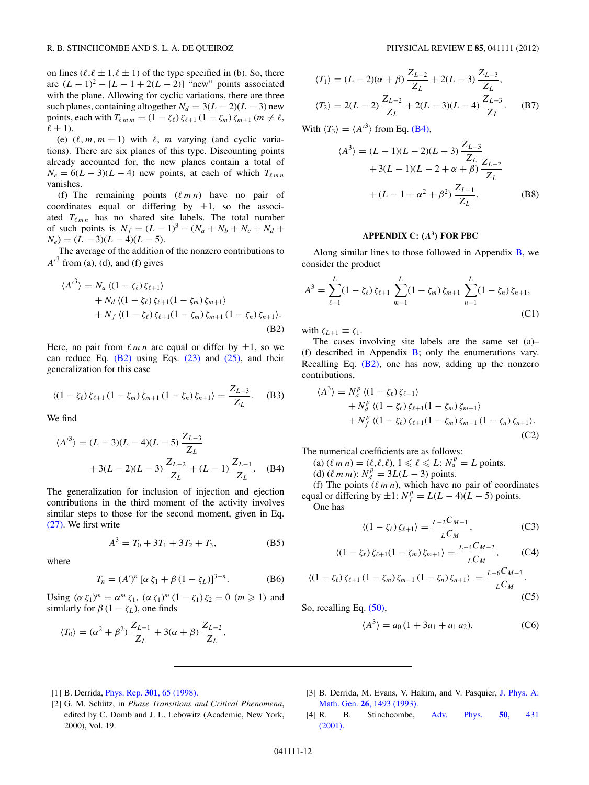<span id="page-11-0"></span>on lines  $(\ell, \ell \pm 1, \ell \pm 1)$  of the type specified in (b). So, there are  $(L - 1)^2 - [L - 1 + 2(L - 2)]$  "new" points associated with the plane. Allowing for cyclic variations, there are three such planes, containing altogether  $N_d = 3(L - 2)(L - 3)$  new points, each with  $T_{\ell m m} = (1 - \zeta_{\ell}) \zeta_{\ell+1} (1 - \zeta_m) \zeta_{m+1} (m \neq \ell,$  $\ell \pm 1$ ).

(e)  $(\ell, m, m \pm 1)$  with  $\ell, m$  varying (and cyclic variations). There are six planes of this type. Discounting points already accounted for, the new planes contain a total of  $N_e = 6(L-3)(L-4)$  new points, at each of which  $T_{\ell m n}$ vanishes.

(f) The remaining points  $(\ell m n)$  have no pair of coordinates equal or differing by  $\pm 1$ , so the associated  $T_{\ell m n}$  has no shared site labels. The total number of such points is  $N_f = (L - 1)^3 - (N_a + N_b + N_c + N_d +$  $N_e$  $=$  $(L - 3)(L - 4)(L - 5).$ 

The average of the addition of the nonzero contributions to  $A<sup>3</sup>$  from (a), (d), and (f) gives

$$
\langle A^{\prime^3} \rangle = N_a \langle (1 - \zeta_\ell) \zeta_{\ell+1} \rangle
$$
  
+ N\_d \langle (1 - \zeta\_\ell) \zeta\_{\ell+1} (1 - \zeta\_m) \zeta\_{m+1} \rangle  
+ N\_f \langle (1 - \zeta\_\ell) \zeta\_{\ell+1} (1 - \zeta\_m) \zeta\_{m+1} (1 - \zeta\_n) \zeta\_{n+1} \rangle. (B2)

Here, no pair from  $\ell$  *m n* are equal or differ by  $\pm 1$ , so we can reduce Eq.  $(B2)$  using Eqs.  $(23)$  and  $(25)$ , and their generalization for this case

$$
\langle (1 - \zeta_{\ell}) \zeta_{\ell+1} (1 - \zeta_m) \zeta_{m+1} (1 - \zeta_n) \zeta_{n+1} \rangle = \frac{Z_{L-3}}{Z_L}.
$$
 (B3)

We find

$$
\langle A'^3 \rangle = (L - 3)(L - 4)(L - 5) \frac{Z_{L-3}}{Z_L}
$$
  
+ 3(L - 2)(L - 3)  $\frac{Z_{L-2}}{Z_L}$  + (L - 1)  $\frac{Z_{L-1}}{Z_L}$ . (B4)

The generalization for inclusion of injection and ejection contributions in the third moment of the activity involves similar steps to those for the second moment, given in Eq. [\(27\).](#page-3-0) We first write

$$
A^3 = T_0 + 3T_1 + 3T_2 + T_3,
$$
 (B5)

where

$$
T_n = (A')^n [\alpha \zeta_1 + \beta (1 - \zeta_L)]^{3-n}.
$$
 (B6)

Using  $(\alpha \zeta_1)^m = \alpha^m \zeta_1$ ,  $(\alpha \zeta_1)^m (1 - \zeta_1) \zeta_2 = 0$   $(m \ge 1)$  and similarly for  $\beta$  (1 –  $\zeta$ <sub>L</sub>), one finds

$$
\langle T_0 \rangle = (\alpha^2 + \beta^2) \frac{Z_{L-1}}{Z_L} + 3(\alpha + \beta) \frac{Z_{L-2}}{Z_L},
$$

$$
\langle T_1 \rangle = (L - 2)(\alpha + \beta) \frac{Z_{L-2}}{Z_L} + 2(L - 3) \frac{Z_{L-3}}{Z_L},
$$
  

$$
\langle T_2 \rangle = 2(L - 2) \frac{Z_{L-2}}{Z_L} + 2(L - 3)(L - 4) \frac{Z_{L-3}}{Z_L}.
$$
 (B7)

With  $\langle T_3 \rangle = \langle {A'}^3 \rangle$  from Eq. (B4),

$$
\langle A^3 \rangle = (L - 1)(L - 2)(L - 3) \frac{Z_{L-3}}{Z_L} + 3(L - 1)(L - 2 + \alpha + \beta) \frac{Z_{L-2}}{Z_L} + (L - 1 + \alpha^2 + \beta^2) \frac{Z_{L-1}}{Z_L}.
$$
 (B8)

# **APPENDIX C: -***A***<sup>3</sup> FOR PBC**

Along similar lines to those followed in Appendix  $B$ , we consider the product

$$
A^{3} = \sum_{\ell=1}^{L} (1 - \zeta_{\ell}) \zeta_{\ell+1} \sum_{m=1}^{L} (1 - \zeta_{m}) \zeta_{m+1} \sum_{n=1}^{L} (1 - \zeta_{n}) \zeta_{n+1},
$$
\n(C1)

with  $\zeta_{L+1} \equiv \zeta_1$ .

The cases involving site labels are the same set (a)– (f) described in Appendix  $\overline{B}$ ; only the enumerations vary. Recalling Eq. (B2), one has now, adding up the nonzero contributions,

$$
\langle A^3 \rangle = N_a^p \langle (1 - \zeta_\ell) \zeta_{\ell+1} \rangle
$$
  
+  $N_a^p \langle (1 - \zeta_\ell) \zeta_{\ell+1} (1 - \zeta_m) \zeta_{m+1} \rangle$   
+  $N_f^p \langle (1 - \zeta_\ell) \zeta_{\ell+1} (1 - \zeta_m) \zeta_{m+1} (1 - \zeta_n) \zeta_{n+1} \rangle$ . (C2)

The numerical coefficients are as follows:

 $(a)$   $(\ell m n) = (\ell, \ell, \ell), 1 \leq \ell \leq L$ :  $N_a^p = L$  points.

(d)  $(\ell m \, m)$ :  $N_d^p = 3L(L - 3)$  points.

(f) The points  $(\ell m n)$ , which have no pair of coordinates equal or differing by  $\pm 1$ :  $N_f^p = L(L-4)(L-5)$  points. One has

$$
\langle (1 - \zeta_{\ell}) \zeta_{\ell+1} \rangle = \frac{L - 2C_{M-1}}{L C_M},\tag{C3}
$$

$$
\langle (1 - \zeta_{\ell}) \zeta_{\ell+1} (1 - \zeta_m) \zeta_{m+1} \rangle = \frac{L - 4C_{M-2}}{L C_M}, \qquad (C4)
$$

$$
\langle (1 - \zeta_{\ell}) \zeta_{\ell+1} (1 - \zeta_m) \zeta_{m+1} (1 - \zeta_n) \zeta_{n+1} \rangle = \frac{L - 6C_{M-3}}{L C_M}.
$$
\n(C5)

So, recalling Eq. [\(50\),](#page-5-0)

$$
\langle A^3 \rangle = a_0 \left( 1 + 3a_1 + a_1 a_2 \right). \tag{C6}
$$

- [1] B. Derrida, Phys. Rep. **301**[, 65 \(1998\).](http://dx.doi.org/10.1016/S0370-1573(98)00006-4)
- [2] G. M. Schütz, in *Phase Transitions and Critical Phenomena*, edited by C. Domb and J. L. Lebowitz (Academic, New York, 2000), Vol. 19.
- [3] B. Derrida, M. Evans, V. Hakim, and V. Pasquier, [J. Phys. A:](http://dx.doi.org/10.1088/0305-4470/26/7/011) Math. Gen. **26**[, 1493 \(1993\).](http://dx.doi.org/10.1088/0305-4470/26/7/011)
- [4] R. B. Stinchcombe, [Adv. Phys.](http://dx.doi.org/10.1080/00018730110099650) **50**, 431 [\(2001\).](http://dx.doi.org/10.1080/00018730110099650)